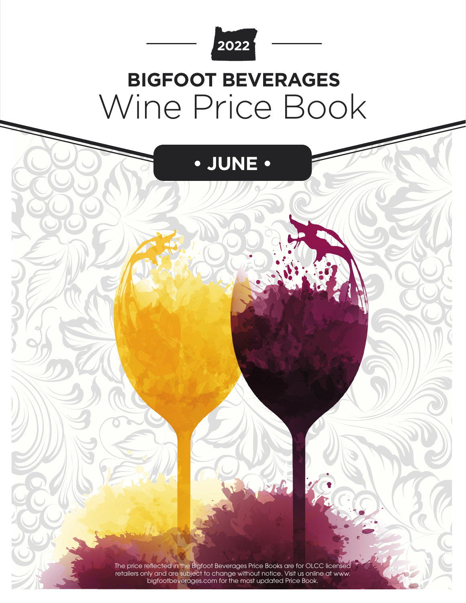

# Wine Price Book **BIGFOOT BEVERAGES**



The price reflected in the Bigfoot Beverages Price Books are for OLCC licensed retailers only and are subject to change without notice. Visit us online at www. bigfootbeverages.com for the most updated Price Book.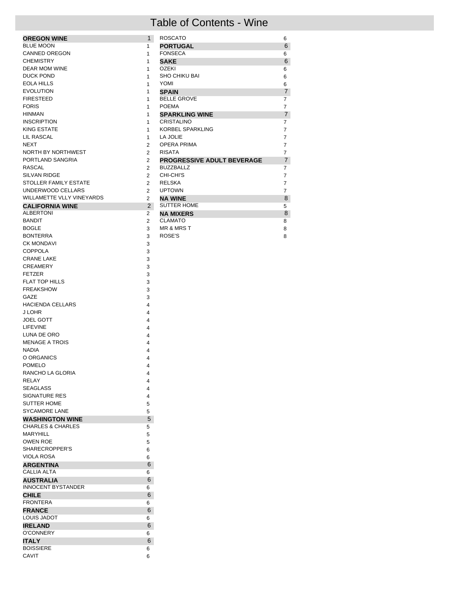### Table of Contents - Wine

| <b>OREGON WINE</b>        | $\mathbf{1}$   | <b>ROSCATO</b>                    | 6              |
|---------------------------|----------------|-----------------------------------|----------------|
| <b>BLUE MOON</b>          | 1              | <b>PORTUGAL</b>                   | 6              |
| CANNED OREGON             | 1              | <b>FONSECA</b>                    | 6              |
| <b>CHEMISTRY</b>          | 1              | <b>SAKE</b>                       | 6              |
| <b>DEAR MOM WINE</b>      | 1              | <b>OZEKI</b>                      | 6              |
| DUCK POND                 | 1              | <b>SHO CHIKU BAI</b>              | 6              |
| EOLA HILLS                | 1              | YOMI                              | 6              |
| <b>EVOLUTION</b>          | 1              | <b>SPAIN</b>                      | $\overline{7}$ |
| <b>FIRESTEED</b>          | 1              | <b>BELLE GROVE</b>                | $\overline{7}$ |
| <b>FORIS</b>              | 1              | <b>POEMA</b>                      | $\overline{7}$ |
| HINMAN                    | 1              | <b>SPARKLING WINE</b>             | $\overline{7}$ |
| <b>INSCRIPTION</b>        | 1              | CRISTALINO                        | $\overline{7}$ |
| KING ESTATE               | 1              | <b>KORBEL SPARKLING</b>           | $\overline{7}$ |
| LIL RASCAL                | 1              | LA JOLIE                          | $\overline{7}$ |
| <b>NEXT</b>               | $\mathcal{P}$  | <b>OPERA PRIMA</b>                | $\overline{7}$ |
| NORTH BY NORTHWEST        | $\mathcal{P}$  | <b>RISATA</b>                     | $\overline{7}$ |
| PORTLAND SANGRIA          | $\overline{2}$ | <b>PROGRESSIVE ADULT BEVERAGE</b> | $\overline{7}$ |
| <b>RASCAL</b>             | $\mathcal{P}$  | <b>BUZZBALLZ</b>                  | $\overline{7}$ |
| SILVAN RIDGE              | $\mathcal{P}$  | CHI-CHI'S                         | $\overline{7}$ |
| STOLLER FAMILY ESTATE     | $\mathcal{P}$  | <b>RELSKA</b>                     | $\overline{7}$ |
| UNDERWOOD CELLARS         | $\mathcal{P}$  | <b>UPTOWN</b>                     | $\overline{7}$ |
| WILLAMETTE VLLY VINEYARDS | $\overline{2}$ | <b>NA WINE</b>                    | 8              |
| <b>CALIFORNIA WINE</b>    | 2              | <b>SUTTER HOME</b>                | 5              |
| <b>ALBERTONI</b>          | $\overline{2}$ | <b>NA MIXERS</b>                  | 8              |
| <b>BANDIT</b>             | $\overline{2}$ | <b>CLAMATO</b>                    | 8              |
| <b>BOGLE</b>              | 3              | <b>MR &amp; MRS T</b>             | 8              |
| <b>BONTERRA</b>           | 3              | ROSE'S                            | 8              |
| 0.111101101101111         |                |                                   |                |

| <b>ALBERTONI</b>             | 2                       |
|------------------------------|-------------------------|
| <b>BANDIT</b>                | $\overline{2}$          |
| <b>BOGLE</b>                 | 3                       |
| <b>BONTERRA</b>              | 3                       |
| <b>CK MONDAVI</b>            | 3                       |
| <b>COPPOLA</b>               | 3                       |
| <b>CRANE LAKE</b>            | 3                       |
| <b>CREAMERY</b>              | 3                       |
| <b>FETZER</b>                | 3                       |
| <b>FLAT TOP HILLS</b>        | 3                       |
| <b>FREAKSHOW</b>             | 3                       |
| GAZE                         | 3                       |
| <b>HACIENDA CELLARS</b>      | $\overline{\mathbf{4}}$ |
| <b>JLOHR</b>                 | 4                       |
| <b>JOEL GOTT</b>             | 4                       |
| LIFEVINE                     | 4                       |
| LUNA DE ORO                  | 4                       |
| <b>MENAGE A TROIS</b>        | 4                       |
| <b>NADIA</b>                 | 4                       |
| O ORGANICS                   | 4                       |
| <b>POMELO</b>                | 4                       |
| RANCHO LA GLORIA             | 4                       |
| <b>RELAY</b>                 | 4                       |
| <b>SEAGLASS</b>              | 4                       |
| <b>SIGNATURE RES</b>         | 4                       |
| <b>SUTTER HOME</b>           | 5                       |
| <b>SYCAMORE LANE</b>         | 5                       |
| <b>WASHINGTON WINE</b>       | 5                       |
| <b>CHARLES &amp; CHARLES</b> | 5                       |
| MARYHILL                     | 5                       |
| <b>OWEN ROE</b>              | 5                       |
| SHARECROPPER'S               | 6                       |
| <b>VIOLA ROSA</b>            | 6                       |
| <b>ARGENTINA</b>             | 6                       |
| CALLIA ALTA                  | 6                       |
| <b>AUSTRALIA</b>             | 6                       |
| <b>INNOCENT BYSTANDER</b>    | 6                       |
| <b>CHILE</b>                 | 6                       |
| <b>FRONTERA</b>              | 6                       |
| <b>FRANCE</b>                | 6                       |
| <b>LOUIS JADOT</b>           | 6                       |
| <b>IRELAND</b>               | 6                       |
| <b>O'CONNERY</b>             | 6                       |
| <b>ITALY</b>                 | 6                       |
| <b>BOISSIERE</b>             | 6                       |
| CAVIT                        | 6                       |
|                              |                         |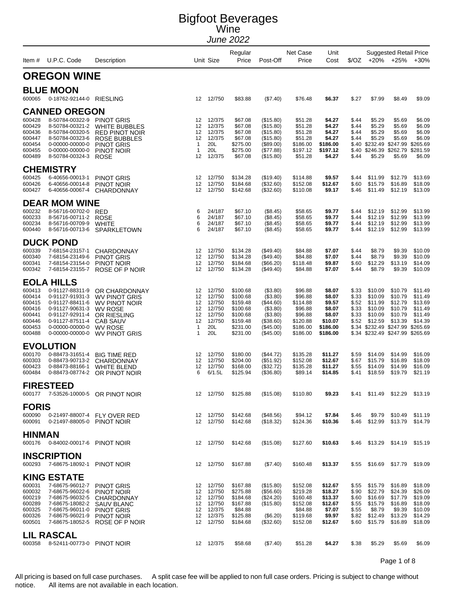|                                                                              | Item # U.P.C. Code                                                                                                                                                        | Description                                                                                                                                          |                                                            | Unit Size                                                                   | Regular<br>Price                                                                             | Post-Off                                                                                             | Net Case<br>Price                                                                        | Unit<br>Cost                                                                      |                                                    |                                                                                  | <b>Suggested Retail Price</b><br>$\sqrt[6]{02}$ +20% +25%                                                                              | $+30%$                                                                    |
|------------------------------------------------------------------------------|---------------------------------------------------------------------------------------------------------------------------------------------------------------------------|------------------------------------------------------------------------------------------------------------------------------------------------------|------------------------------------------------------------|-----------------------------------------------------------------------------|----------------------------------------------------------------------------------------------|------------------------------------------------------------------------------------------------------|------------------------------------------------------------------------------------------|-----------------------------------------------------------------------------------|----------------------------------------------------|----------------------------------------------------------------------------------|----------------------------------------------------------------------------------------------------------------------------------------|---------------------------------------------------------------------------|
|                                                                              | <b>OREGON WINE</b>                                                                                                                                                        |                                                                                                                                                      |                                                            |                                                                             |                                                                                              |                                                                                                      |                                                                                          |                                                                                   |                                                    |                                                                                  |                                                                                                                                        |                                                                           |
| 600065                                                                       | <b>BLUE MOON</b><br>0-18762-92144-0 RIESLING                                                                                                                              |                                                                                                                                                      |                                                            | 12 12/750                                                                   | \$83.88                                                                                      | (\$7.40)                                                                                             | \$76.48                                                                                  | \$6.37                                                                            | \$.27                                              | \$7.99                                                                           | \$8.49                                                                                                                                 | \$9.09                                                                    |
| 600428<br>600429<br>600436<br>600447<br>600454<br>600455<br>600489           | <b>CANNED OREGON</b><br>8-50784-00322-9 PINOT GRIS<br>8-50784-00321-2<br>8-50784-00320-5<br>8-50784-00323-6<br>0-00000-00000-0<br>0-00000-00000-0<br>8-50784-00324-3      | <b>WHITE BUBBLES</b><br><b>RED PINOT NOIR</b><br><b>ROSE BUBBLES</b><br><b>PINOT GRIS</b><br>PINOT NOIR<br><b>ROSE</b>                               | 12<br>12<br>12<br>12<br>$\mathbf{1}$<br>$\mathbf{1}$<br>12 | 12/375<br>12/375<br>12/375<br>12/375<br>20L<br>20L<br>12/375                | \$67.08<br>\$67.08<br>\$67.08<br>\$67.08<br>\$275.00<br>\$275.00<br>\$67.08                  | (\$15.80)<br>(\$15.80)<br>(\$15.80)<br>(\$15.80)<br>(\$89.00)<br>(\$77.88)<br>(\$15.80)              | \$51.28<br>\$51.28<br>\$51.28<br>\$51.28<br>\$186.00<br>\$197.12<br>\$51.28              | \$4.27<br>\$4.27<br>\$4.27<br>\$4.27<br>\$186.00<br>\$197.12<br>\$4.27            | \$.44<br>\$.44<br>\$44<br>\$.44<br>\$.40<br>\$.44  | \$5.29<br>\$5.29<br>\$5.29<br>\$5.29<br>\$5.29                                   | \$5.69<br>\$5.69<br>\$5.69<br>\$5.69<br>\$.40 \$232.49 \$247.99 \$265.69<br>\$246.39 \$262.79<br>\$5.69                                | \$6.09<br>\$6.09<br>\$6.09<br>\$6.09<br>\$281.59<br>\$6.09                |
| 600425<br>600426<br>600427                                                   | <b>CHEMISTRY</b><br>6-40656-00013-1<br>6-40656-00014-8<br>6-40656-00067-4                                                                                                 | <b>PINOT GRIS</b><br>PINOT NOIR<br>CHARDONNAY                                                                                                        | 12<br>12<br>12                                             | 12/750<br>12/750<br>12/750                                                  | \$134.28<br>\$184.68<br>\$142.68                                                             | (\$19.40)<br>(\$32.60)<br>(\$32.60)                                                                  | \$114.88<br>\$152.08<br>\$110.08                                                         | \$9.57<br>\$12.67<br>\$9.17                                                       | \$.44<br>\$.60<br>\$.46                            | \$11.99<br>\$15.79<br>\$11.49                                                    | \$12.79<br>\$16.89<br>\$12.19                                                                                                          | \$13.69<br>\$18.09<br>\$13.09                                             |
| 600232<br>600233<br>600234<br>600440                                         | <b>DEAR MOM WINE</b><br>8-56716-00702-0<br>8-56716-00711-2<br>8-56716-00709-9<br>8-56716-00713-6                                                                          | <b>RED</b><br><b>ROSE</b><br><b>WHITE</b><br>SPARKLETOWN                                                                                             | 6<br>6<br>6<br>6                                           | 24/187<br>24/187<br>24/187<br>24/187                                        | \$67.10<br>\$67.10<br>\$67.10<br>\$67.10                                                     | (\$8.45)<br>(\$8.45)<br>(\$8.45)<br>(\$8.45)                                                         | \$58.65<br>\$58.65<br>\$58.65<br>\$58.65                                                 | \$9.77<br>\$9.77<br>\$9.77<br>\$9.77                                              | \$.44<br>\$.44<br>\$.44<br>\$.44                   | \$12.19<br>\$12.19<br>\$12.19<br>\$12.19                                         | \$12.99<br>\$12.99<br>\$12.99<br>\$12.99                                                                                               | \$13.99<br>\$13.99<br>\$13.99<br>\$13.99                                  |
| 600339<br>600340<br>600341<br>600342                                         | <b>DUCK POND</b><br>7-68154-23157-1<br>7-68154-23149-6<br>7-68154-23154-0<br>7-68154-23155-7                                                                              | <b>CHARDONNAY</b><br><b>PINOT GRIS</b><br>PINOT NOIR<br>ROSE OF P NOIR                                                                               | 12<br>12<br>12<br>12                                       | 12/750<br>12/750<br>12/750<br>12/750                                        | \$134.28<br>\$134.28<br>\$184.68<br>\$134.28                                                 | (\$49.40)<br>(\$49.40)<br>(\$66.20)<br>(\$49.40)                                                     | \$84.88<br>\$84.88<br>\$118.48<br>\$84.88                                                | \$7.07<br>\$7.07<br>\$9.87<br>\$7.07                                              | \$.44<br>\$.44<br>\$.60<br>\$.44                   | \$8.79<br>\$8.79<br>\$12.29<br>\$8.79                                            | \$9.39<br>\$9.39<br>\$13.19<br>\$9.39                                                                                                  | \$10.09<br>\$10.09<br>\$14.09<br>\$10.09                                  |
| 600413<br>600414<br>600415<br>600416<br>600441<br>600446<br>600453<br>600488 | <b>EOLA HILLS</b><br>0-91127-88311-9<br>0-91127-91931-3<br>0-91127-88411-6<br>0-91127-90631-3<br>0-91127-92911-4<br>0-91127-87511-4<br>0-00000-00000-0<br>0-00000-00000-0 | OR CHARDONNAY<br><b>WV PINOT GRIS</b><br><b>WV PINOT NOIR</b><br><b>WV ROSE</b><br>OR RIESLING<br><b>CAB SAUV</b><br><b>WV ROSE</b><br>WV PINOT GRIS | 12<br>12<br>12<br>12<br>12<br>12<br>$\mathbf{1}$<br>1      | 12/750<br>12/750<br>12/750<br>12/750<br>12/750<br>12/750<br>20L<br>20L      | \$100.68<br>\$100.68<br>\$159.48<br>\$100.68<br>\$100.68<br>\$159.48<br>\$231.00<br>\$231.00 | (\$3.80)<br>(\$3.80)<br>(\$44.60)<br>(\$3.80)<br>(\$3.80)<br>(\$38.60)<br>$(\$45.00)$<br>$(\$45.00)$ | \$96.88<br>\$96.88<br>\$114.88<br>\$96.88<br>\$96.88<br>\$120.88<br>\$186.00<br>\$186.00 | \$8.07<br>\$8.07<br>\$9.57<br>\$8.07<br>\$8.07<br>\$10.07<br>\$186.00<br>\$186.00 | \$33<br>\$.33<br>\$.52<br>\$.33<br>\$.33           | \$10.09<br>\$10.09<br>\$11.99<br>\$10.09<br>\$10.09<br>$$.52$ \$12.59            | \$10.79<br>\$10.79<br>\$12.79<br>\$10.79<br>\$10.79<br>\$13.39<br>\$.34 \$232.49 \$247.99 \$265.69<br>\$.34 \$232.49 \$247.99 \$265.69 | \$11.49<br>\$11.49<br>\$13.69<br>\$11.49<br>\$11.49<br>\$14.39            |
| 600170<br>600303<br>600423<br>600484                                         | <b>EVOLUTION</b><br>0-88473-31651-4<br>0-88473-90713-2<br>0-88473-88166-1<br>0-88473-08774-2                                                                              | <b>BIG TIME RED</b><br><b>CHARDONNAY</b><br><b>WHITE BLEND</b><br>OR PINOT NOIR                                                                      | 12<br>12<br>12<br>6                                        | 12/750<br>12/750<br>12/750<br>6/1.5L                                        | \$180.00<br>\$204.00<br>\$168.00<br>\$125.94                                                 | (\$44.72)<br>(\$51.92)<br>(\$32.72)<br>(\$36.80)                                                     | \$135.28<br>\$152.08<br>\$135.28<br>\$89.14                                              | \$11.27<br>\$12.67<br>\$11.27<br>\$14.85                                          | \$.59<br>\$.67<br>\$.55<br>\$.41                   | \$14.09<br>\$15.79<br>\$14.09<br>\$18.59                                         | \$14.99<br>\$16.89<br>\$14.99<br>\$19.79                                                                                               | \$16.09<br>\$18.09<br>\$16.09<br>\$21.19                                  |
|                                                                              | <b>FIRESTEED</b>                                                                                                                                                          | 600177 7-53526-10000-5 OR PINOT NOIR                                                                                                                 |                                                            | 12 12/750                                                                   | \$125.88                                                                                     | (\$15.08)                                                                                            | \$110.80                                                                                 | \$9.23                                                                            |                                                    |                                                                                  | \$.41 \$11.49 \$12.29                                                                                                                  | \$13.19                                                                   |
| <b>FORIS</b><br>600090<br>600091                                             | 0-21497-88005-0 PINOT NOIR                                                                                                                                                | 0-21497-88007-4 FLY OVER RED                                                                                                                         |                                                            | 12 12/750<br>12 12/750                                                      | \$142.68<br>\$142.68                                                                         | (\$48.56)<br>(\$18.32)                                                                               | \$94.12<br>\$124.36                                                                      | \$7.84<br>\$10.36                                                                 | \$.46                                              | \$9.79<br>$$.46$ \$12.99                                                         | \$10.49<br>\$13.79                                                                                                                     | \$11.19<br>\$14.79                                                        |
| <b>HINMAN</b>                                                                | 600176 0-84002-00017-6 PINOT NOIR                                                                                                                                         |                                                                                                                                                      |                                                            | 12 12/750                                                                   | \$142.68                                                                                     | (\$15.08)                                                                                            | \$127.60                                                                                 | \$10.63                                                                           |                                                    |                                                                                  | \$.46 \$13.29 \$14.19 \$15.19                                                                                                          |                                                                           |
| 600293                                                                       | <b>INSCRIPTION</b><br>7-68675-18092-1 PINOT NOIR                                                                                                                          |                                                                                                                                                      |                                                            | 12 12/750                                                                   | \$167.88                                                                                     | (\$7.40)                                                                                             | \$160.48                                                                                 | \$13.37                                                                           |                                                    |                                                                                  | \$.55 \$16.69 \$17.79 \$19.09                                                                                                          |                                                                           |
| 600031<br>600032<br>600219<br>600289<br>600325<br>600326<br>600501           | <b>KING ESTATE</b><br>7-68675-96012-7 PINOT GRIS<br>7-68675-96022-6<br>7-68675-96032-5<br>7-68675-18082-2 SAUV BLANC<br>7-68675-96011-0<br>7-68675-96021-9                | PINOT GRIS<br>PINOT NOIR<br>CHARDONNAY<br>SAUV BLANC<br>PINOT GRIS<br>PINOT NOIR<br>ROSE OF P NOIR<br>7-68675-18052-5 ROSE OF P NOIR                 | 12<br>12<br>12<br>12                                       | 12 12/750<br>12/750<br>12/750<br>12/750<br>12/375<br>12 12/375<br>12 12/750 | \$167.88<br>\$275.88<br>\$184.68<br>\$167.88<br>\$84.88<br>\$125.88<br>\$184.68              | (\$15.80)<br>(\$56.60)<br>(\$24.20)<br>(\$15.80)<br>(\$6.20)<br>(\$32.60)                            | \$152.08<br>\$219.28<br>\$160.48<br>\$152.08<br>\$84.88<br>\$119.68<br>\$152.08          | \$12.67<br>\$18.27<br>\$13.37<br>\$12.67<br>\$7.07<br>\$9.97<br>\$12.67           | \$.90<br>\$.60<br>\$.55<br>\$.55<br>\$.82<br>\$.60 | $$.55$ $$15.79$<br>\$22.79<br>\$16.69<br>\$15.79<br>\$8.79<br>\$12.49<br>\$15.79 | \$16.89<br>\$24.39<br>\$17.79<br>\$16.89<br>\$9.39<br>\$13.29<br>\$16.89                                                               | \$18.09<br>\$26.09<br>\$19.09<br>\$18.09<br>\$10.09<br>\$14.29<br>\$18.09 |
| 600358                                                                       | <b>LIL RASCAL</b><br>8-52411-00773-0 PINOT NOIR                                                                                                                           |                                                                                                                                                      |                                                            | 12 12/375                                                                   | \$58.68                                                                                      | (\$7.40)                                                                                             | \$51.28                                                                                  | \$4.27                                                                            | \$.38                                              | \$5.29                                                                           | \$5.69                                                                                                                                 | \$6.09                                                                    |

Page 1 of 8

All pricing is based on full case purchases. A split case fee will be applied to non full case orders. Pricing is subject to change without notice. All items are not available in each location. All items are not available in each location.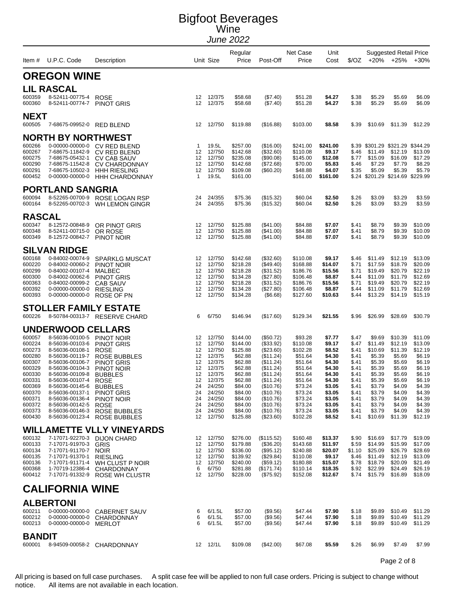|                         |                                                    |                                                               |                    |                     | Regular              |                          | Net Case             | Unit               |                |                    | <b>Suggested Retail Price</b>    |                    |
|-------------------------|----------------------------------------------------|---------------------------------------------------------------|--------------------|---------------------|----------------------|--------------------------|----------------------|--------------------|----------------|--------------------|----------------------------------|--------------------|
|                         | Item # U.P.C. Code                                 | Description                                                   |                    | Unit Size           | Price                | Post-Off                 | Price                | Cost               |                |                    | $$/OZ$ +20% +25% +30%            |                    |
|                         | <b>OREGON WINE</b>                                 |                                                               |                    |                     |                      |                          |                      |                    |                |                    |                                  |                    |
|                         | <b>LIL RASCAL</b>                                  |                                                               |                    |                     |                      |                          |                      |                    |                |                    |                                  |                    |
| 600359<br>600360        | 8-52411-00775-4 ROSE<br>8-52411-00774-7 PINOT GRIS |                                                               | 12                 | 12 12/375<br>12/375 | \$58.68<br>\$58.68   | (\$7.40)<br>(\$7.40)     | \$51.28<br>\$51.28   | \$4.27<br>\$4.27   | \$.38<br>\$.38 | \$5.29<br>\$5.29   | \$5.69<br>\$5.69                 | \$6.09<br>\$6.09   |
| <b>NEXT</b>             |                                                    |                                                               |                    |                     |                      |                          |                      |                    |                |                    |                                  |                    |
| 600505                  | 7-68675-09952-0 RED BLEND                          |                                                               |                    | 12 12/750           | \$119.88             | (\$16.88)                | \$103.00             | \$8.58             | \$.39          | \$10.69            | \$11.39                          | \$12.29            |
|                         | <b>NORTH BY NORTHWEST</b>                          |                                                               |                    |                     |                      |                          |                      |                    |                |                    |                                  |                    |
| 600266                  |                                                    | 0-00000-00000-0 CV RED BLEND                                  | 1                  | 19.5L               | \$257.00             | (\$16.00)                | \$241.00             | \$241.00           |                |                    | \$.39 \$301.29 \$321.29 \$344.29 |                    |
| 600267<br>600275        | 7-68675-11842-9<br>7-68675-05432-1                 | CV RED BLEND                                                  | 12<br>12           | 12/750<br>12/750    | \$142.68<br>\$235.08 | (\$32.60)<br>(\$90.08)   | \$110.08<br>\$145.00 | \$9.17<br>\$12.08  | \$.46<br>\$.77 | \$11.49<br>\$15.09 | \$12.19<br>\$16.09               | \$13.09<br>\$17.29 |
| 600290                  | 7-68675-11542-8                                    | <b>CV CAB SAUV</b><br><b>CV CHARDONNAY</b>                    | 12                 | 12/750              | \$142.68             | (\$72.68)                | \$70.00              | \$5.83             | \$.46          | \$7.29             | \$7.79                           | \$8.29             |
| 600291                  | 7-68675-10502-3                                    | <b>HHH RIESLING</b>                                           | 12<br>$\mathbf{1}$ | 12/750<br>19.5L     | \$109.08             | (\$60.20)                | \$48.88              | \$4.07             | \$.35          | \$5.09             | \$5.39                           | \$5.79             |
| 600452                  | 0-00000-00000-0                                    | <b>HHH CHARDONNAY</b>                                         |                    |                     | \$161.00             |                          | \$161.00             | \$161.00           |                |                    | \$.24 \$201.29 \$214.69 \$229.99 |                    |
|                         | <b>PORTLAND SANGRIA</b>                            |                                                               |                    |                     |                      |                          |                      |                    |                |                    |                                  |                    |
| 600094<br>600164        | 8-52265-00702-3                                    | 8-52265-00700-9 ROSE LOGAN RSP<br>WH LEMON GINGR              | 24<br>24           | 24/355<br>24/355    | \$75.36<br>\$75.36   | (\$15.32)<br>(\$15.32)   | \$60.04<br>\$60.04   | \$2.50<br>\$2.50   | \$.26<br>\$.26 | \$3.09<br>\$3.09   | \$3.29<br>\$3.29                 | \$3.59<br>\$3.59   |
| <b>RASCAL</b>           |                                                    |                                                               |                    |                     |                      |                          |                      |                    |                |                    |                                  |                    |
| 600347                  | 8-12572-00848-9                                    | OR PINOT GRIS                                                 |                    | 12 12/750           | \$125.88             | (\$41.00)                | \$84.88              | \$7.07             | \$.41          | \$8.79             | \$9.39                           | \$10.09            |
| 600348<br>600349        | 8-52411-00715-0<br>8-12572-00842-7                 | OR ROSE<br>PINOT NOIR                                         | 12<br>12           | 12/750<br>12/750    | \$125.88<br>\$125.88 | (\$41.00)<br>$(\$41.00)$ | \$84.88<br>\$84.88   | \$7.07<br>\$7.07   | \$.41<br>\$.41 | \$8.79<br>\$8.79   | \$9.39<br>\$9.39                 | \$10.09<br>\$10.09 |
|                         | <b>SILVAN RIDGE</b>                                |                                                               |                    |                     |                      |                          |                      |                    |                |                    |                                  |                    |
| 600168                  | 0-84002-00074-9                                    | <b>SPARKLG MUSCAT</b>                                         | 12                 | 12/750              | \$142.68             | (\$32.60)                | \$110.08             | \$9.17             | \$.46          | \$11.49            | \$12.19                          | \$13.09            |
| 600220                  | 0-84002-00060-2                                    | PINOT NOIR                                                    | 12                 | 12/750              | \$218.28             | $(\$49.40)$              | \$168.88             | \$14.07            | \$.71          | \$17.59            | \$18.79                          | \$20.09            |
| 600299<br>600300        | 0-84002-00107-4<br>0-84002-00062-6                 | <b>MALBEC</b><br><b>PINOT GRIS</b>                            | 12<br>12           | 12/750<br>12/750    | \$218.28<br>\$134.28 | (\$31.52)<br>(\$27.80)   | \$186.76<br>\$106.48 | \$15.56<br>\$8.87  | \$.71<br>\$.44 | \$19.49<br>\$11.09 | \$20.79<br>\$11.79               | \$22.19<br>\$12.69 |
| 600363                  | 0-84002-00099-2                                    | <b>CAB SAUV</b>                                               | 12                 | 12/750              | \$218.28             | $(\$31.52)$              | \$186.76             | \$15.56            | \$.71          | \$19.49            | \$20.79                          | \$22.19            |
| 600392<br>600393        | 0-00000-00000-0<br>0-00000-00000-0                 | <b>RIESLING</b>                                               | 12<br>12           | 12/750<br>12/750    | \$134.28<br>\$134.28 | (\$27.80)<br>(\$6.68)    | \$106.48<br>\$127.60 | \$8.87<br>\$10.63  | \$.44<br>\$.44 | \$11.09<br>\$13.29 | \$11.79<br>\$14.19               | \$12.69<br>\$15.19 |
|                         |                                                    | ROSE OF PN                                                    |                    |                     |                      |                          |                      |                    |                |                    |                                  |                    |
| 600226                  |                                                    | <b>STOLLER FAMILY ESTATE</b><br>8-50784-00313-7 RESERVE CHARD | 6                  | 6/750               | \$146.94             | (\$17.60)                | \$129.34             | \$21.55            | \$.96          | \$26.99            | \$28.69                          | \$30.79            |
|                         | <b>UNDERWOOD CELLARS</b>                           |                                                               |                    |                     |                      |                          |                      |                    |                |                    |                                  |                    |
| 600057                  | 8-56036-00100-5 PINOT NOIR                         |                                                               | 12                 | 12/750              | \$144.00             | $(\$50.72)$              | \$93.28              | \$7.77             | \$.47          | \$9.69             | \$10.39                          | \$11.09            |
| 600224                  | 8-56036-00103-6                                    | <b>PINOT GRIS</b>                                             | 12                 | 12/750              | \$144.00             | (\$33.92)                | \$110.08             | \$9.17             | \$.47          | \$11.49            | \$12.19                          | \$13.09            |
| 600273                  | 8-56036-00108-1                                    | <b>ROSE</b>                                                   | 12                 | 12/750              | \$125.88             | $(\$23.60)$              | \$102.28             | \$8.52             | \$.41          | \$10.69            | \$11.39                          | \$12.19            |
| 600280<br>600307        | 8-56036-00119-7<br>8-56036-00106-7                 | ROSE BUBBLES<br><b>PINOT GRIS</b>                             | 12<br>12           | 12/375<br>12/375    | \$62.88<br>\$62.88   | (\$11.24)<br>(\$11.24)   | \$51.64<br>\$51.64   | \$4.30<br>\$4.30   | \$.41<br>\$.41 | \$5.39<br>\$5.39   | \$5.69<br>\$5.69                 | \$6.19<br>\$6.19   |
| 600329                  | 8-56036-00104-3                                    | PINOT NOIR                                                    | 12                 | 12/375              | \$62.88              | (\$11.24)                | \$51.64              | \$4.30             | \$.41          | \$5.39             | \$5.69                           | \$6.19             |
| 600330                  | 8-56036-00109-8                                    | <b>BUBBLES</b>                                                | 12                 | 12/375              | \$62.88              | (\$11.24)                | \$51.64              | \$4.30             | \$.41          | \$5.39             | \$5.69                           | \$6.19             |
| 600331<br>600369        | 8-56036-00107-4<br>8-56036-00145-6 BUBBLES         | ROSE                                                          | 12                 | 12/375<br>24 24/250 | \$62.88<br>\$84.00   | (\$11.24)<br>(\$10.76)   | \$51.64<br>\$73.24   | \$4.30<br>\$3.05   | \$.41<br>\$.41 | \$5.39<br>\$3.79   | \$5.69<br>\$4.09                 | \$6.19<br>\$4.39   |
| 600370                  | 8-56036-00137-1 PINOT GRIS                         |                                                               |                    | 24 24/250           | \$84.00              | (\$10.76)                | \$73.24              | \$3.05             | \$.41          | \$3.79             | \$4.09                           | \$4.39             |
| 600371                  | 8-56036-00136-4                                    | PINOT NOIR                                                    | 24                 | 24/250              | \$84.00              | (\$10.76)                | \$73.24              | \$3.05             | \$.41          | \$3.79             | \$4.09                           | \$4.39             |
| 600372<br>600373        | 8-56036-00142-5<br>8-56036-00146-3                 | <b>ROSE</b><br>ROSE BUBBLES                                   | 24<br>24           | 24/250<br>24/250    | \$84.00<br>\$84.00   | (\$10.76)<br>(\$10.76)   | \$73.24<br>\$73.24   | \$3.05<br>\$3.05   | \$.41<br>\$.41 | \$3.79<br>\$3.79   | \$4.09<br>\$4.09                 | \$4.39<br>\$4.39   |
| 600430                  |                                                    | 8-56036-00123-4 ROSE BUBBLES                                  |                    | 12 12/750           | \$125.88             | $(\$23.60)$              | \$102.28             | \$8.52             | \$41           | \$10.69            | \$11.39                          | \$12.19            |
|                         |                                                    | <b>WILLAMETTE VLLY VINEYARDS</b>                              |                    |                     |                      |                          |                      |                    |                |                    |                                  |                    |
| 600132<br>600133        | 7-17071-91970-3                                    | 7-17071-92270-3 DIJON CHARD<br><b>GRIS</b>                    | 12<br>12           | 12/750<br>12/750    | \$276.00<br>\$179.88 | (\$115.52)<br>(\$36.20)  | \$160.48<br>\$143.68 | \$13.37<br>\$11.97 | \$.90<br>\$.59 | \$16.69<br>\$14.99 | \$17.79<br>\$15.99               | \$19.09<br>\$17.09 |
| 600134                  | 7-17071-91170-7                                    | <b>NOIR</b>                                                   | 12                 | 12/750              | \$336.00             | (\$95.12)                | \$240.88             | \$20.07            | \$1.10         | \$25.09            | \$26.79                          | \$28.69            |
| 600135                  | 7-17071-91370-1 RIESLING                           |                                                               | 12                 | 12/750              | \$139.92             | (\$29.84)                | \$110.08             | \$9.17             | \$46           | \$11.49            | \$12.19                          | \$13.09            |
| 600136<br>600368        | 1-70719-12386-4                                    | 7-17071-91171-4 WH CLUST P NOIR<br>CHARDONNAY                 | 12<br>6            | 12/750<br>6/750     | \$240.00<br>\$281.88 | (\$59.12)<br>(\$171.74)  | \$180.88<br>\$110.14 | \$15.07<br>\$18.35 | \$.78<br>\$.92 | \$18.79<br>\$22.99 | \$20.09<br>\$24.49               | \$21.49<br>\$26.19 |
| 600412                  |                                                    | 7-17071-91332-9 ROSE WH CLUSTR                                |                    | 12 12/750           | \$228.00             | $(\$75.92)$              | \$152.08             | \$12.67            | \$.74          | \$15.79            | \$16.89                          | \$18.09            |
|                         | <b>CALIFORNIA WINE</b>                             |                                                               |                    |                     |                      |                          |                      |                    |                |                    |                                  |                    |
|                         | <b>ALBERTONI</b>                                   |                                                               |                    |                     |                      |                          |                      |                    |                |                    |                                  |                    |
| 600211                  |                                                    | 0-00000-00000-0 CABERNET SAUV                                 | 6                  | 6/1.5L              | \$57.00              | (\$9.56)                 | \$47.44              | \$7.90             | \$.18          | \$9.89             | \$10.49                          | \$11.29            |
| 600212                  |                                                    | 0-00000-00000-0 CHARDONNAY                                    | 6                  | 6/1.5L              | \$57.00              | (\$9.56)                 | \$47.44              | \$7.90             | \$.18          | \$9.89             | \$10.49                          | \$11.29            |
| 600213                  | 0-00000-00000-0 MERLOT                             |                                                               | 6                  | 6/1.5L              | \$57.00              | (\$9.56)                 | \$47.44              | \$7.90             | \$.18          | \$9.89             | \$10.49                          | \$11.29            |
| <b>BANDIT</b><br>600001 |                                                    |                                                               |                    |                     |                      |                          |                      |                    |                |                    | \$7.49                           |                    |
|                         |                                                    | 8-94509-00058-2 CHARDONNAY                                    |                    | 12 12/1L            | \$109.08             | (\$42.00)                | \$67.08              | \$5.59             | \$.26          | \$6.99             |                                  | \$7.99             |

Page 2 of 8

All pricing is based on full case purchases. A split case fee will be applied to non full case orders. Pricing is subject to change without notice. All items are not available in each location. All items are not available in each location.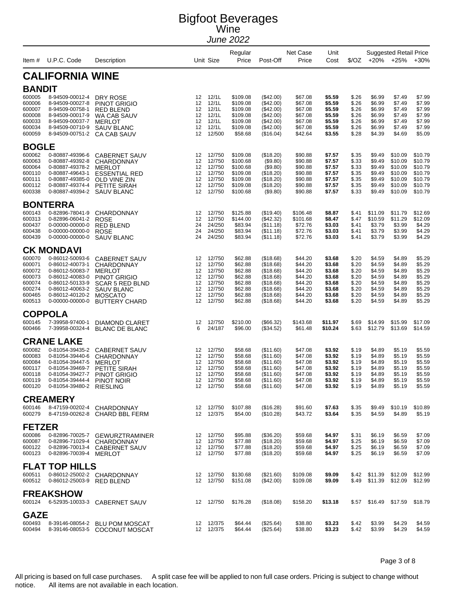| Item #                                                                       | U.P.C. Code                                                                                                                                            | Description                                                                                                                                                                |                                              | Unit Size                                                                    | Regular<br>Price                                                                     | Post-Off                                                                                             | Net Case<br>Price                                                                    | Unit<br>Cost                                                                 | \$/OZ                                                                | $+20%$                                                                       | <b>Suggested Retail Price</b><br>$+25%$                                      | $+30%$                                                                       |
|------------------------------------------------------------------------------|--------------------------------------------------------------------------------------------------------------------------------------------------------|----------------------------------------------------------------------------------------------------------------------------------------------------------------------------|----------------------------------------------|------------------------------------------------------------------------------|--------------------------------------------------------------------------------------|------------------------------------------------------------------------------------------------------|--------------------------------------------------------------------------------------|------------------------------------------------------------------------------|----------------------------------------------------------------------|------------------------------------------------------------------------------|------------------------------------------------------------------------------|------------------------------------------------------------------------------|
|                                                                              | <b>CALIFORNIA WINE</b>                                                                                                                                 |                                                                                                                                                                            |                                              |                                                                              |                                                                                      |                                                                                                      |                                                                                      |                                                                              |                                                                      |                                                                              |                                                                              |                                                                              |
| <b>BANDIT</b>                                                                |                                                                                                                                                        |                                                                                                                                                                            |                                              |                                                                              |                                                                                      |                                                                                                      |                                                                                      |                                                                              |                                                                      |                                                                              |                                                                              |                                                                              |
| 600005<br>600006<br>600007<br>600008<br>600033<br>600034<br>600059           | 8-94509-00012-4<br>8-94509-00027-8<br>8-94509-00758-1<br>8-94509-00017-9<br>8-94509-00037-7<br>8-94509-00710-9<br>8-94509-00751-2                      | DRY ROSE<br><b>PINOT GRIGIO</b><br><b>RED BLEND</b><br>WA CAB SAUV<br><b>MERLOT</b><br>SAUV BLANC<br>CA CAB SAUV                                                           | 12<br>12<br>12<br>12<br>12<br>12<br>12       | 12/1L<br>12/1L<br>12/1L<br>12/1L<br>12/1L<br>12/1L<br>12/500                 | \$109.08<br>\$109.08<br>\$109.08<br>\$109.08<br>\$109.08<br>\$109.08<br>\$58.68      | $(\$42.00)$<br>$(\$42.00)$<br>$(\$42.00)$<br>(\$42.00)<br>$(\$42.00)$<br>$(\$42.00)$<br>(\$16.04)    | \$67.08<br>\$67.08<br>\$67.08<br>\$67.08<br>\$67.08<br>\$67.08<br>\$42.64            | \$5.59<br>\$5.59<br>\$5.59<br>\$5.59<br>\$5.59<br>\$5.59<br>\$3.55           | \$.26<br>\$.26<br>\$.26<br>\$.26<br>\$.26<br>\$.26<br>\$.28          | \$6.99<br>\$6.99<br>\$6.99<br>\$6.99<br>\$6.99<br>\$6.99<br>\$4.39           | \$7.49<br>\$7.49<br>\$7.49<br>\$7.49<br>\$7.49<br>\$7.49<br>\$4.69           | \$7.99<br>\$7.99<br>\$7.99<br>\$7.99<br>\$7.99<br>\$7.99<br>\$5.09           |
| <b>BOGLE</b>                                                                 |                                                                                                                                                        |                                                                                                                                                                            |                                              |                                                                              |                                                                                      |                                                                                                      |                                                                                      |                                                                              |                                                                      |                                                                              |                                                                              |                                                                              |
| 600062<br>600063<br>600064<br>600110<br>600111<br>600112<br>600338           | 0-80887-49396-6<br>0-80887-49392-8<br>0-80887-49378-2<br>0-80887-49643-1<br>0-80887-49385-0<br>0-80887-49374-4<br>0-80887-49394-2                      | <b>CABERNET SAUV</b><br>CHARDONNAY<br>MERLOT<br><b>ESSENTIAL RED</b><br>OLD VINE ZIN<br>PETITE SIRAH<br><b>SAUV BLANC</b>                                                  | 12<br>12<br>12<br>12<br>12<br>12<br>12       | 12/750<br>12/750<br>12/750<br>12/750<br>12/750<br>12/750<br>12/750           | \$109.08<br>\$100.68<br>\$100.68<br>\$109.08<br>\$109.08<br>\$109.08<br>\$100.68     | (\$18.20)<br>(\$9.80)<br>$($ \$9.80)<br>(\$18.20)<br>(\$18.20)<br>(\$18.20)<br>(\$9.80)              | \$90.88<br>\$90.88<br>\$90.88<br>\$90.88<br>\$90.88<br>\$90.88<br>\$90.88            | \$7.57<br>\$7.57<br>\$7.57<br>\$7.57<br>\$7.57<br>\$7.57<br>\$7.57           | \$.35<br>\$.33<br>\$.33<br>\$.35<br>\$.35<br>\$.35<br>\$.33          | \$9.49<br>\$9.49<br>\$9.49<br>\$9.49<br>\$9.49<br>\$9.49<br>\$9.49           | \$10.09<br>\$10.09<br>\$10.09<br>\$10.09<br>\$10.09<br>\$10.09<br>\$10.09    | \$10.79<br>\$10.79<br>\$10.79<br>\$10.79<br>\$10.79<br>\$10.79<br>\$10.79    |
|                                                                              | <b>BONTERRA</b>                                                                                                                                        |                                                                                                                                                                            |                                              |                                                                              |                                                                                      |                                                                                                      |                                                                                      |                                                                              |                                                                      |                                                                              |                                                                              |                                                                              |
| 600143<br>600313<br>600437<br>600438<br>600439                               | 0-82896-78041-9<br>0-82896-06041-2<br>0-00000-00000-0<br>0-00000-00000-0<br>0-00000-00000-0                                                            | <b>CHARDONNAY</b><br><b>ROSE</b><br><b>RED BLEND</b><br><b>ROSE</b><br><b>SAUV BLANC</b>                                                                                   | 12<br>12<br>24<br>24<br>24                   | 12/750<br>12/750<br>24/250<br>24/250<br>24/250                               | \$125.88<br>\$144.00<br>\$83.94<br>\$83.94<br>\$83.94                                | (\$19.40)<br>$(\$42.32)$<br>(\$11.18)<br>(\$11.18)<br>(\$11.18)                                      | \$106.48<br>\$101.68<br>\$72.76<br>\$72.76<br>\$72.76                                | \$8.87<br>\$8.47<br>\$3.03<br>\$3.03<br>\$3.03                               | \$.41<br>\$.47<br>\$.41<br>\$.41<br>\$.41                            | \$11.09<br>\$10.59<br>\$3.79<br>\$3.79<br>\$3.79                             | \$11.79<br>\$11.29<br>\$3.99<br>\$3.99<br>\$3.99                             | \$12.69<br>\$12.09<br>\$4.29<br>\$4.29<br>\$4.29                             |
|                                                                              | <b>CK MONDAVI</b>                                                                                                                                      |                                                                                                                                                                            |                                              |                                                                              |                                                                                      |                                                                                                      |                                                                                      |                                                                              |                                                                      |                                                                              |                                                                              |                                                                              |
| 600070<br>600071<br>600072<br>600073<br>600074<br>600274<br>600465<br>600513 | 0-86012-50093-6<br>0-86012-40073-1<br>0-86012-50083-7<br>0-86012-40083-0<br>0-86012-50133-9<br>0-86012-40063-2<br>0-86012-40120-2<br>0-00000-00000-0   | <b>CABERNET SAUV</b><br><b>CHARDONNAY</b><br><b>MERLOT</b><br><b>PINOT GRIGIO</b><br><b>SCAR 5 RED BLND</b><br><b>SAUV BLANC</b><br><b>MOSCATO</b><br><b>BUTTERY CHARD</b> | 12<br>12<br>12<br>12<br>12<br>12<br>12<br>12 | 12/750<br>12/750<br>12/750<br>12/750<br>12/750<br>12/750<br>12/750<br>12/750 | \$62.88<br>\$62.88<br>\$62.88<br>\$62.88<br>\$62.88<br>\$62.88<br>\$62.88<br>\$62.88 | (\$18.68)<br>(\$18.68)<br>(\$18.68)<br>(\$18.68)<br>(\$18.68)<br>(\$18.68)<br>(\$18.68)<br>(\$18.68) | \$44.20<br>\$44.20<br>\$44.20<br>\$44.20<br>\$44.20<br>\$44.20<br>\$44.20<br>\$44.20 | \$3.68<br>\$3.68<br>\$3.68<br>\$3.68<br>\$3.68<br>\$3.68<br>\$3.68<br>\$3.68 | \$.20<br>\$.20<br>\$.20<br>\$.20<br>\$.20<br>\$.20<br>\$.20<br>\$.20 | \$4.59<br>\$4.59<br>\$4.59<br>\$4.59<br>\$4.59<br>\$4.59<br>\$4.59<br>\$4.59 | \$4.89<br>\$4.89<br>\$4.89<br>\$4.89<br>\$4.89<br>\$4.89<br>\$4.89<br>\$4.89 | \$5.29<br>\$5.29<br>\$5.29<br>\$5.29<br>\$5.29<br>\$5.29<br>\$5.29<br>\$5.29 |
|                                                                              | <b>COPPOLA</b>                                                                                                                                         |                                                                                                                                                                            |                                              |                                                                              |                                                                                      |                                                                                                      |                                                                                      |                                                                              |                                                                      |                                                                              |                                                                              |                                                                              |
| 600145<br>600466                                                             | 7-39958-97400-1<br>7-39958-00324-4                                                                                                                     | DIAMOND CLARET<br><b>BLANC DE BLANC</b>                                                                                                                                    | 12<br>6                                      | 12/750<br>24/187                                                             | \$210.00<br>\$96.00                                                                  | (\$66.32)<br>(\$34.52)                                                                               | \$143.68<br>\$61.48                                                                  | \$11.97<br>\$10.24                                                           | \$.69<br>\$.63                                                       | \$14.99<br>\$12.79                                                           | \$15.99<br>\$13.69                                                           | \$17.09<br>\$14.59                                                           |
| 600082<br>600083<br>600084<br>600117<br>600118<br>600119<br>600120           | <b>CRANE LAKE</b><br>0-81054-39435-2<br>0-81054-39440-6<br>0-81054-39447-5<br>0-81054-39469-7<br>0-81054-39427-7<br>0-81054-39444-4<br>0-81054-39480-2 | <b>CABERNET SAUV</b><br><b>CHARDONNAY</b><br><b>MERLOT</b><br>PETITE SIRAH<br><b>PINOT GRIGIO</b><br>PINOT NOIR<br><b>RIESLING</b>                                         | 12<br>12<br>12<br>12<br>12<br>12             | 12/750<br>12/750<br>12/750<br>12/750<br>12/750<br>12/750<br>12 12/750        | \$58.68<br>\$58.68<br>\$58.68<br>\$58.68<br>\$58.68<br>\$58.68<br>\$58.68            | (\$11.60)<br>(\$11.60)<br>(\$11.60)<br>(\$11.60)<br>$(\$11.60)$<br>(\$11.60)<br>(\$11.60)            | \$47.08<br>\$47.08<br>\$47.08<br>\$47.08<br>\$47.08<br>\$47.08<br>\$47.08            | \$3.92<br>\$3.92<br>\$3.92<br>\$3.92<br>\$3.92<br>\$3.92<br>\$3.92           | \$.19<br>\$.19<br>\$.19<br>\$.19<br>\$.19<br>\$.19<br>\$.19          | \$4.89<br>\$4.89<br>\$4.89<br>\$4.89<br>\$4.89<br>\$4.89<br>\$4.89           | \$5.19<br>\$5.19<br>\$5.19<br>\$5.19<br>\$5.19<br>\$5.19<br>\$5.19           | \$5.59<br>\$5.59<br>\$5.59<br>\$5.59<br>\$5.59<br>\$5.59<br>\$5.59           |
|                                                                              | <b>CREAMERY</b>                                                                                                                                        |                                                                                                                                                                            |                                              |                                                                              |                                                                                      |                                                                                                      |                                                                                      |                                                                              |                                                                      |                                                                              |                                                                              |                                                                              |
| 600146<br>600279                                                             |                                                                                                                                                        | 8-47159-00202-4 CHARDONNAY<br>8-47159-00262-8 CHARD BBL FERM                                                                                                               |                                              | 12 12/750<br>12 12/375                                                       | \$107.88<br>\$54.00                                                                  | (\$16.28)<br>(\$10.28)                                                                               | \$91.60<br>\$43.72                                                                   | \$7.63<br>\$3.64                                                             | \$.35<br>\$.35                                                       | \$9.49<br>\$4.59                                                             | \$10.19<br>\$4.89                                                            | \$10.89<br>\$5.19                                                            |
| <b>FETZER</b>                                                                |                                                                                                                                                        |                                                                                                                                                                            |                                              |                                                                              |                                                                                      |                                                                                                      |                                                                                      |                                                                              |                                                                      |                                                                              |                                                                              |                                                                              |
| 600086<br>600087<br>600122<br>600123                                         | 0-82896-70025-7<br>0-82896-71029-4<br>0-82896-70013-4<br>0-82896-70039-4 MERLOT                                                                        | <b>GEWURZTRAMINER</b><br><b>CHARDONNAY</b><br><b>CABERNET SAUV</b>                                                                                                         | $12 \overline{ }$<br>12                      | 12 12/750<br>12/750<br>12/750<br>12 12/750                                   | \$95.88<br>\$77.88<br>\$77.88<br>\$77.88                                             | (\$36.20)<br>(\$18.20)<br>(\$18.20)<br>(\$18.20)                                                     | \$59.68<br>\$59.68<br>\$59.68<br>\$59.68                                             | \$4.97<br>\$4.97<br>\$4.97<br>\$4.97                                         | \$.31<br>\$.25<br>\$.25<br>\$.25                                     | \$6.19<br>\$6.19<br>\$6.19<br>\$6.19                                         | \$6.59<br>\$6.59<br>\$6.59<br>\$6.59                                         | \$7.09<br>\$7.09<br>\$7.09<br>\$7.09                                         |
|                                                                              | <b>FLAT TOP HILLS</b>                                                                                                                                  |                                                                                                                                                                            |                                              |                                                                              |                                                                                      |                                                                                                      |                                                                                      |                                                                              |                                                                      |                                                                              |                                                                              |                                                                              |
| 600511<br>600512                                                             | 0-86012-25003-9 RED BLEND                                                                                                                              | 0-86012-25002-2 CHARDONNAY                                                                                                                                                 | 12<br>12                                     | 12/750<br>12/750                                                             | \$130.68<br>\$151.08                                                                 | (\$21.60)<br>(\$42.00)                                                                               | \$109.08<br>\$109.08                                                                 | \$9.09<br>\$9.09                                                             | \$.49                                                                | \$.42 \$11.39<br>\$11.39                                                     | \$12.09<br>\$12.09                                                           | \$12.99<br>\$12.99                                                           |
| 600124                                                                       | <b>FREAKSHOW</b>                                                                                                                                       | 6-52935-10033-3 CABERNET SAUV                                                                                                                                              |                                              | 12 12/750                                                                    | \$176.28                                                                             | (\$18.08)                                                                                            | \$158.20                                                                             | \$13.18                                                                      | \$.57                                                                | \$16.49                                                                      | \$17.59                                                                      | \$18.79                                                                      |
| <b>GAZE</b><br>600493<br>600494                                              | 8-39146-08054-2                                                                                                                                        | <b>BLU POM MOSCAT</b><br>8-39146-08053-5 COCONUT MOSCAT                                                                                                                    |                                              | 12 12/375<br>12 12/375                                                       | \$64.44<br>\$64.44                                                                   | (\$25.64)<br>(\$25.64)                                                                               | \$38.80<br>\$38.80                                                                   | \$3.23<br>\$3.23                                                             | \$.42<br>\$.42                                                       | \$3.99<br>\$3.99                                                             | \$4.29<br>\$4.29                                                             | \$4.59<br>\$4.59                                                             |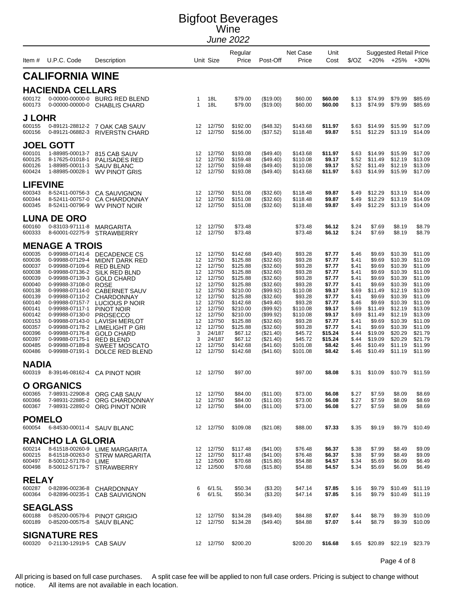|                        | Item # U.P.C. Code                                 | Description                                                 |                              | Unit Size        | Regular<br>Price     | Post-Off                 | Net Case<br>Price    | Unit<br>Cost       |                |                    | <b>Suggested Retail Price</b><br>$\sqrt[6]{02}$ +20% +25% | $+30%$             |
|------------------------|----------------------------------------------------|-------------------------------------------------------------|------------------------------|------------------|----------------------|--------------------------|----------------------|--------------------|----------------|--------------------|-----------------------------------------------------------|--------------------|
|                        | <b>CALIFORNIA WINE</b>                             |                                                             |                              |                  |                      |                          |                      |                    |                |                    |                                                           |                    |
|                        | <b>HACIENDA CELLARS</b>                            |                                                             |                              |                  |                      |                          |                      |                    |                |                    |                                                           |                    |
| 600172<br>600173       | 0-00000-00000-0<br>0-00000-00000-0                 | BURG RED BLEND<br><b>CHABLIS CHARD</b>                      | $\mathbf{1}$<br>$\mathbf{1}$ | 18L<br>18L       | \$79.00<br>\$79.00   | (\$19.00)<br>(\$19.00)   | \$60.00<br>\$60.00   | \$60.00<br>\$60.00 | \$.13<br>\$.13 | \$74.99<br>\$74.99 | \$79.99<br>\$79.99                                        | \$85.69<br>\$85.69 |
| <b>J LOHR</b>          |                                                    |                                                             |                              |                  |                      |                          |                      |                    |                |                    |                                                           |                    |
| 600155<br>600156       | 0-89121-28812-2<br>0-89121-06882-3                 | 7 OAK CAB SAUV<br><b>RIVERSTN CHARD</b>                     | 12<br>12 <sup>°</sup>        | 12/750<br>12/750 | \$192.00<br>\$156.00 | (\$48.32)<br>(\$37.52)   | \$143.68<br>\$118.48 | \$11.97<br>\$9.87  | \$.63<br>\$.51 | \$14.99<br>\$12.29 | \$15.99<br>\$13.19                                        | \$17.09<br>\$14.09 |
|                        | <b>JOEL GOTT</b>                                   |                                                             |                              |                  |                      |                          |                      |                    |                |                    |                                                           |                    |
| 600101<br>600125       | 1-88985-00013-7<br>8-17625-01018-1                 | 815 CAB SAUV<br>PALISADES RED                               | 12<br>12                     | 12/750<br>12/750 | \$193.08<br>\$159.48 | (\$49.40)<br>(\$49.40)   | \$143.68<br>\$110.08 | \$11.97<br>\$9.17  | \$.63<br>\$.52 | \$14.99<br>\$11.49 | \$15.99<br>\$12.19                                        | \$17.09<br>\$13.09 |
| 600126<br>600424       | 1-88985-00011-3<br>1-88985-00028-1                 | <b>SAUV BLANC</b><br>WV PINOT GRIS                          | 12<br>12                     | 12/750<br>12/750 | \$159.48<br>\$193.08 | (\$49.40)<br>$(\$49.40)$ | \$110.08<br>\$143.68 | \$9.17<br>\$11.97  | \$.52<br>\$.63 | \$11.49<br>\$14.99 | \$12.19<br>\$15.99                                        | \$13.09<br>\$17.09 |
| <b>LIFEVINE</b>        |                                                    |                                                             |                              |                  |                      |                          |                      |                    |                |                    |                                                           |                    |
| 600343                 | 8-52411-00756-3                                    | <b>CA SAUVIGNON</b>                                         | 12                           | 12/750           | \$151.08             | (\$32.60)                | \$118.48             | \$9.87             | \$.49          | \$12.29            | \$13.19                                                   | \$14.09            |
| 600344<br>600345       | 8-52411-00757-0<br>8-52411-00796-9                 | <b>CA CHARDONNAY</b><br>WV PINOT NOIR                       | 12<br>12                     | 12/750<br>12/750 | \$151.08<br>\$151.08 | (\$32.60)<br>(\$32.60)   | \$118.48<br>\$118.48 | \$9.87<br>\$9.87   | \$.49<br>\$.49 | \$12.29<br>\$12.29 | \$13.19<br>\$13.19                                        | \$14.09<br>\$14.09 |
|                        | <b>LUNA DE ORO</b>                                 |                                                             |                              |                  |                      |                          |                      |                    |                |                    |                                                           |                    |
| 600160<br>600333       | 0-83103-97111-8<br>8-60001-02275-9                 | <b>MARGARITA</b><br><b>STRAWBERRY</b>                       | 12<br>12                     | 12/750<br>12/750 | \$73.48<br>\$73.48   |                          | \$73.48<br>\$73.48   | \$6.12<br>\$6.12   | \$.24<br>\$.24 | \$7.69<br>\$7.69   | \$8.19<br>\$8.19                                          | \$8.79<br>\$8.79   |
|                        | <b>MENAGE A TROIS</b>                              |                                                             |                              |                  |                      |                          |                      |                    |                |                    |                                                           |                    |
| 600035<br>600036       | 0-99988-07141-6<br>0-99988-07129-4                 | DECADENCE CS<br><b>MIDNT DARK RED</b>                       | 12<br>12                     | 12/750<br>12/750 | \$142.68<br>\$125.88 | $(\$49.40)$<br>(\$32.60) | \$93.28<br>\$93.28   | \$7.77<br>\$7.77   | \$.46<br>\$.41 | \$9.69<br>\$9.69   | \$10.39<br>\$10.39                                        | \$11.09<br>\$11.09 |
| 600037                 | 0-99988-07109-6                                    | <b>RED BLEND</b>                                            | 12                           | 12/750           | \$125.88             | (\$32.60)                | \$93.28              | \$7.77             | \$.41          | \$9.69             | \$10.39                                                   | \$11.09            |
| 600038<br>600039       | 0-99988-07136-2<br>0-99988-07139-3                 | SILK RED BLND<br><b>GOLD CHARD</b>                          | 12<br>12                     | 12/750<br>12/750 | \$125.88<br>\$125.88 | (\$32.60)<br>(\$32.60)   | \$93.28<br>\$93.28   | \$7.77<br>\$7.77   | \$.41<br>\$.41 | \$9.69<br>\$9.69   | \$10.39<br>\$10.39                                        | \$11.09<br>\$11.09 |
| 600040<br>600138       | 0-99988-37108-0<br>0-99988-07114-0                 | <b>ROSE</b><br><b>CABERNET SAUV</b>                         | 12<br>12                     | 12/750<br>12/750 | \$125.88<br>\$210.00 | (\$32.60)<br>(\$99.92)   | \$93.28<br>\$110.08  | \$7.77<br>\$9.17   | \$.41<br>\$.69 | \$9.69<br>\$11.49  | \$10.39<br>\$12.19                                        | \$11.09<br>\$13.09 |
| 600139                 | 0-99988-07110-2                                    | CHARDONNAY                                                  | 12                           | 12/750           | \$125.88             | $(\$32.60)$              | \$93.28              | \$7.77             | \$.41          | \$9.69             | \$10.39                                                   | \$11.09            |
| 600140<br>600141       | 0-99988-07157-7<br>0-99988-07117-1                 | LUCIOUS P NOIR<br>PINOT NOIR                                | 12<br>12                     | 12/750<br>12/750 | \$142.68<br>\$210.00 | (\$49.40)<br>(\$99.92)   | \$93.28<br>\$110.08  | \$7.77<br>\$9.17   | \$.46<br>\$.69 | \$9.69<br>\$11.49  | \$10.39<br>\$12.19                                        | \$11.09<br>\$13.09 |
| 600142<br>600153       | 0-99988-07130-0                                    | <b>PROSECCO</b><br><b>LAVISH MERLOT</b>                     | 12<br>12                     | 12/750           | \$210.00<br>\$125.88 | (\$99.92)                | \$110.08             | \$9.17<br>\$7.77   | \$.69<br>\$.41 | \$11.49            | \$12.19                                                   | \$13.09            |
| 600357                 | 0-99988-07143-0<br>0-99988-07178-2                 | LIMELIGHT P GRI                                             | 12                           | 12/750<br>12/750 | \$125.88             | (\$32.60)<br>$(\$32.60)$ | \$93.28<br>\$93.28   | \$7.77             | \$.41          | \$9.69<br>\$9.69   | \$10.39<br>\$10.39                                        | \$11.09<br>\$11.09 |
| 600396<br>600397       | 0-99988-07176-8<br>0-99988-07175-1                 | <b>GOLD CHARD</b><br><b>RED BLEND</b>                       | 3<br>3                       | 24/187<br>24/187 | \$67.12<br>\$67.12   | $(\$21.40)$<br>(\$21.40) | \$45.72<br>\$45.72   | \$15.24<br>\$15.24 | \$44<br>\$.44  | \$19.09<br>\$19.09 | \$20.29<br>\$20.29                                        | \$21.79<br>\$21.79 |
| 600485<br>600486       | 0-99988-07189-8<br>0-99988-07191-1                 | <b>SWEET MOSCATO</b><br>DOLCE RED BLEND                     | 12<br>12                     | 12/750<br>12/750 | \$142.68<br>\$142.68 | (\$41.60)<br>(\$41.60)   | \$101.08<br>\$101.08 | \$8.42<br>\$8.42   | \$.46<br>\$.46 | \$10.49<br>\$10.49 | \$11.19<br>\$11.19                                        | \$11.99<br>\$11.99 |
| <b>NADIA</b><br>600319 |                                                    | 8-39146-08162-4 CA PINOT NOIR                               |                              | 12 12/750        | \$97.00              |                          | \$97.00              | \$8.08             | \$.31          | \$10.09            | \$10.79                                                   | \$11.59            |
|                        |                                                    |                                                             |                              |                  |                      |                          |                      |                    |                |                    |                                                           |                    |
| 600365                 | <b>O ORGANICS</b><br>7-98931-22908-8               | ORG CAB SAUV                                                | 12                           | 12/750           | \$84.00              | (\$11.00)                | \$73.00              | \$6.08             | \$.27          | \$7.59             | \$8.09                                                    | \$8.69             |
| 600366<br>600367       | 7-98931-22892-0                                    | 7-98931-22885-2 ORG CHARDONNAY<br>ORG PINOT NOIR            | 12 <sup>°</sup><br>12        | 12/750<br>12/750 | \$84.00<br>\$84.00   | (\$11.00)<br>(\$11.00)   | \$73.00<br>\$73.00   | \$6.08<br>\$6.08   | \$.27<br>\$.27 | \$7.59<br>\$7.59   | \$8.09<br>\$8.09                                          | \$8.69<br>\$8.69   |
| <b>POMELO</b>          |                                                    |                                                             |                              |                  |                      |                          |                      |                    |                |                    |                                                           |                    |
| 600054                 | 6-84530-00011-4 SAUV BLANC                         |                                                             |                              | 12 12/750        | \$109.08             | (\$21.08)                | \$88.00              | \$7.33             | \$.35          | \$9.19             | \$9.79                                                    | \$10.49            |
|                        | <b>RANCHO LA GLORIA</b>                            |                                                             |                              |                  |                      |                          |                      |                    |                |                    |                                                           |                    |
| 600214                 |                                                    | 8-61518-00260-9 LIME MARGARITA                              |                              | 12 12/750        | \$117.48             | (\$41.00)                | \$76.48              | \$6.37             | \$.38          | \$7.99             | \$8.49                                                    | \$9.09             |
| 600215<br>600497       | 8-50012-57178-0 LIME                               | 8-61518-00263-0 STRW MARGARITA                              | 12<br>12                     | 12/750<br>12/500 | \$117.48<br>\$70.68  | (\$41.00)<br>(\$15.80)   | \$76.48<br>\$54.88   | \$6.37<br>\$4.57   | \$.38<br>\$.34 | \$7.99<br>\$5.69   | \$8.49<br>\$6.09                                          | \$9.09<br>\$6.49   |
| 600498                 |                                                    | 8-50012-57179-7 STRAWBERRY                                  | 12 <sup>2</sup>              | 12/500           | \$70.68              | (\$15.80)                | \$54.88              | \$4.57             | \$.34          | \$5.69             | \$6.09                                                    | \$6.49             |
| <b>RELAY</b>           |                                                    |                                                             |                              |                  |                      |                          |                      |                    |                |                    |                                                           |                    |
| 600287<br>600364       |                                                    | 0-82896-00236-8 CHARDONNAY<br>0-82896-00235-1 CAB SAUVIGNON | 6<br>6                       | 6/1.5L<br>6/1.5L | \$50.34<br>\$50.34   | (\$3.20)<br>(\$3.20)     | \$47.14<br>\$47.14   | \$7.85<br>\$7.85   | \$.16<br>\$.16 | \$9.79<br>\$9.79   | \$10.49<br>\$10.49                                        | \$11.19<br>\$11.19 |
|                        | <b>SEAGLASS</b>                                    |                                                             |                              |                  |                      |                          |                      |                    |                |                    |                                                           |                    |
| 600188                 |                                                    | 0-85200-00579-6 PINOT GRIGIO                                |                              | 12 12/750        | \$134.28             | (\$49.40)                | \$84.88              | \$7.07             | \$44           | \$8.79             | \$9.39                                                    | \$10.09            |
| 600189                 | 0-85200-00575-8 SAUV BLANC<br><b>SIGNATURE RES</b> |                                                             |                              | 12 12/750        | \$134.28             | (\$49.40)                | \$84.88              | \$7.07             | \$.44          | \$8.79             | \$9.39                                                    | \$10.09            |
| 600320                 | 0-21130-12919-5 CAB SAUV                           |                                                             |                              | 12 12/750        | \$200.20             |                          | \$200.20             | \$16.68            | \$.65          | \$20.89            | \$22.19 \$23.79                                           |                    |
|                        |                                                    |                                                             |                              |                  |                      |                          |                      |                    |                |                    |                                                           |                    |

Page 4 of 8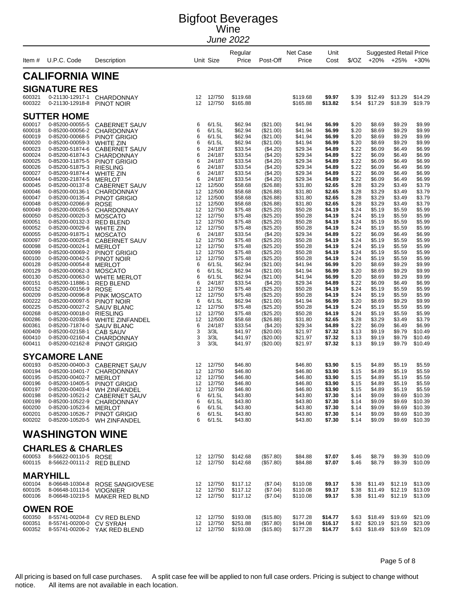| ltem #                                                                                                                                                                                                                                                                                                                                 | U.P.C. Code                                                                                                                                                                                                                                                                                                                                                                                                                                                                                                                                                                                                                                                           | Description                                                                                                                                                                                                                                                                                                                                                                                                                                                                                                                                                                                                                                                       |                                                                                                                                                                                    | Unit Size                                                                                                                                                                                                                                                                                                                              | Regular<br>Price                                                                                                                                                                                                                                                                                                                                                        | Post-Off                                                                                                                                                                                                                                                                                                                                                                                                                                                | Net Case<br>Price                                                                                                                                                                                                                                                                                                                                                       | Unit<br>Cost                                                                                                                                                                                                                                                                                                                           | \$/OZ                                                                                                                                                                                                                                                                                                 | $+20%$                                                                                                                                                                                                                                                                                                                                 | <b>Suggested Retail Price</b><br>$+25%$                                                                                                                                                                                                                                                                                                | $+30%$                                                                                                                                                                                                                                                                                                                                 |
|----------------------------------------------------------------------------------------------------------------------------------------------------------------------------------------------------------------------------------------------------------------------------------------------------------------------------------------|-----------------------------------------------------------------------------------------------------------------------------------------------------------------------------------------------------------------------------------------------------------------------------------------------------------------------------------------------------------------------------------------------------------------------------------------------------------------------------------------------------------------------------------------------------------------------------------------------------------------------------------------------------------------------|-------------------------------------------------------------------------------------------------------------------------------------------------------------------------------------------------------------------------------------------------------------------------------------------------------------------------------------------------------------------------------------------------------------------------------------------------------------------------------------------------------------------------------------------------------------------------------------------------------------------------------------------------------------------|------------------------------------------------------------------------------------------------------------------------------------------------------------------------------------|----------------------------------------------------------------------------------------------------------------------------------------------------------------------------------------------------------------------------------------------------------------------------------------------------------------------------------------|-------------------------------------------------------------------------------------------------------------------------------------------------------------------------------------------------------------------------------------------------------------------------------------------------------------------------------------------------------------------------|---------------------------------------------------------------------------------------------------------------------------------------------------------------------------------------------------------------------------------------------------------------------------------------------------------------------------------------------------------------------------------------------------------------------------------------------------------|-------------------------------------------------------------------------------------------------------------------------------------------------------------------------------------------------------------------------------------------------------------------------------------------------------------------------------------------------------------------------|----------------------------------------------------------------------------------------------------------------------------------------------------------------------------------------------------------------------------------------------------------------------------------------------------------------------------------------|-------------------------------------------------------------------------------------------------------------------------------------------------------------------------------------------------------------------------------------------------------------------------------------------------------|----------------------------------------------------------------------------------------------------------------------------------------------------------------------------------------------------------------------------------------------------------------------------------------------------------------------------------------|----------------------------------------------------------------------------------------------------------------------------------------------------------------------------------------------------------------------------------------------------------------------------------------------------------------------------------------|----------------------------------------------------------------------------------------------------------------------------------------------------------------------------------------------------------------------------------------------------------------------------------------------------------------------------------------|
|                                                                                                                                                                                                                                                                                                                                        | <b>CALIFORNIA WINE</b>                                                                                                                                                                                                                                                                                                                                                                                                                                                                                                                                                                                                                                                |                                                                                                                                                                                                                                                                                                                                                                                                                                                                                                                                                                                                                                                                   |                                                                                                                                                                                    |                                                                                                                                                                                                                                                                                                                                        |                                                                                                                                                                                                                                                                                                                                                                         |                                                                                                                                                                                                                                                                                                                                                                                                                                                         |                                                                                                                                                                                                                                                                                                                                                                         |                                                                                                                                                                                                                                                                                                                                        |                                                                                                                                                                                                                                                                                                       |                                                                                                                                                                                                                                                                                                                                        |                                                                                                                                                                                                                                                                                                                                        |                                                                                                                                                                                                                                                                                                                                        |
|                                                                                                                                                                                                                                                                                                                                        | <b>SIGNATURE RES</b>                                                                                                                                                                                                                                                                                                                                                                                                                                                                                                                                                                                                                                                  |                                                                                                                                                                                                                                                                                                                                                                                                                                                                                                                                                                                                                                                                   |                                                                                                                                                                                    |                                                                                                                                                                                                                                                                                                                                        |                                                                                                                                                                                                                                                                                                                                                                         |                                                                                                                                                                                                                                                                                                                                                                                                                                                         |                                                                                                                                                                                                                                                                                                                                                                         |                                                                                                                                                                                                                                                                                                                                        |                                                                                                                                                                                                                                                                                                       |                                                                                                                                                                                                                                                                                                                                        |                                                                                                                                                                                                                                                                                                                                        |                                                                                                                                                                                                                                                                                                                                        |
| 600321<br>600322                                                                                                                                                                                                                                                                                                                       | 0-21130-12917-1<br>0-21130-12918-8                                                                                                                                                                                                                                                                                                                                                                                                                                                                                                                                                                                                                                    | CHARDONNAY<br>PINOT NOIR                                                                                                                                                                                                                                                                                                                                                                                                                                                                                                                                                                                                                                          | 12<br>12                                                                                                                                                                           | 12/750<br>12/750                                                                                                                                                                                                                                                                                                                       | \$119.68<br>\$165.88                                                                                                                                                                                                                                                                                                                                                    |                                                                                                                                                                                                                                                                                                                                                                                                                                                         | \$119.68<br>\$165.88                                                                                                                                                                                                                                                                                                                                                    | \$9.97<br>\$13.82                                                                                                                                                                                                                                                                                                                      | \$.39<br>\$.54                                                                                                                                                                                                                                                                                        | \$12.49<br>\$17.29                                                                                                                                                                                                                                                                                                                     | \$13.29<br>\$18.39                                                                                                                                                                                                                                                                                                                     | \$14.29<br>\$19.79                                                                                                                                                                                                                                                                                                                     |
| 600017<br>600018<br>600019<br>600020<br>600023<br>600024<br>600025<br>600026<br>600027<br>600044<br>600045<br>600046<br>600047<br>600048<br>600049<br>600050<br>600051<br>600052<br>600055<br>600097<br>600098<br>600099<br>600100<br>600128<br>600129<br>600130<br>600151<br>600152<br>600209<br>600222<br>600225<br>600268<br>600286 | <b>SUTTER HOME</b><br>0-85200-00055-5<br>0-85200-00056-2<br>0-85200-00068-5<br>0-85200-00059-3<br>0-85200-51874-6<br>0-85200-61874-3<br>0-85200-11875-5<br>0-85200-51875-3<br>0-85200-91874-4<br>0-85200-21874-5<br>0-85200-00137-8<br>0-85200-00136-1<br>0-85200-00135-4<br>0-85200-02066-9<br>0-85200-00026-5<br>0-85200-00020-3<br>0-85200-00132-3<br>0-85200-00029-6<br>0-85200-91875-1<br>0-85200-00025-8<br>0-85200-00024-1<br>0-85200-00069-2<br>0-85200-00042-5<br>0-85200-00054-8<br>0-85200-00062-3<br>0-85200-00063-0<br>0-85200-11886-1<br>0-85200-00156-9<br>0-85200-00096-8<br>0-85200-00097-5<br>0-85200-00027-2<br>0-85200-00018-0<br>0-85200-02038-6 | <b>CABERNET SAUV</b><br><b>CHARDONNAY</b><br><b>PINOT GRIGIO</b><br><b>WHITE ZIN</b><br><b>CABERNET SAUV</b><br><b>CHARDONNAY</b><br><b>PINOT GRIGIO</b><br><b>RIESLING</b><br><b>WHITE ZIN</b><br><b>MERLOT</b><br><b>CABERNET SAUV</b><br><b>CHARDONNAY</b><br><b>PINOT GRIGIO</b><br><b>ROSE</b><br>CHARDONNAY<br><b>MOSCATO</b><br><b>RED BLEND</b><br><b>WHITE ZIN</b><br><b>MOSCATO</b><br><b>CABERNET SAUV</b><br><b>MERLOT</b><br><b>PINOT GRIGIO</b><br>PINOT NOIR<br><b>MERLOT</b><br><b>MOSCATO</b><br><b>WHITE MERLOT</b><br>RED BLEND<br><b>ROSE</b><br>PINK MOSCATO<br>PINOT NOIR<br><b>SAUV BLANC</b><br><b>RIESLING</b><br><b>WHITE ZINFANDEL</b> | 6<br>6<br>6<br>6<br>6<br>6<br>6<br>6<br>6<br>6<br>12<br>12<br>12<br>12<br>12<br>12<br>12<br>12<br>6<br>12<br>12<br>12<br>12<br>6<br>6<br>6<br>6<br>12<br>12<br>6<br>12<br>12<br>12 | 6/1.5L<br>6/1.5L<br>6/1.5L<br>6/1.5L<br>24/187<br>24/187<br>24/187<br>24/187<br>24/187<br>24/187<br>12/500<br>12/500<br>12/500<br>12/500<br>12/750<br>12/750<br>12/750<br>12/750<br>24/187<br>12/750<br>12/750<br>12/750<br>12/750<br>6/1.5L<br>6/1.5L<br>6/1.5L<br>24/187<br>12/750<br>12/750<br>6/1.5L<br>12/750<br>12/750<br>12/500 | \$62.94<br>\$62.94<br>\$62.94<br>\$62.94<br>\$33.54<br>\$33.54<br>\$33.54<br>\$33.54<br>\$33.54<br>\$33.54<br>\$58.68<br>\$58.68<br>\$58.68<br>\$58.68<br>\$75.48<br>\$75.48<br>\$75.48<br>\$75.48<br>\$33.54<br>\$75.48<br>\$75.48<br>\$75.48<br>\$75.48<br>\$62.94<br>\$62.94<br>\$62.94<br>\$33.54<br>\$75.48<br>\$75.48<br>\$62.94<br>\$75.48<br>\$75.48<br>\$58.68 | (\$21.00)<br>$(\$21.00)$<br>(\$21.00)<br>(\$21.00)<br>(\$4.20)<br>(\$4.20)<br>(\$4.20)<br>(\$4.20)<br>(\$4.20)<br>(\$4.20)<br>(\$26.88)<br>$(\$26.88)$<br>(\$26.88)<br>(\$26.88)<br>(\$25.20)<br>(\$25.20)<br>$(\$25.20)$<br>$(\$25.20)$<br>(\$4.20)<br>$(\$25.20)$<br>(\$25.20)<br>(\$25.20)<br>$(\$25.20)$<br>$(\$21.00)$<br>(\$21.00)<br>$(\$21.00)$<br>(\$4.20)<br>(\$25.20)<br>$(\$25.20)$<br>$(\$21.00)$<br>(\$25.20)<br>$(\$25.20)$<br>(\$26.88) | \$41.94<br>\$41.94<br>\$41.94<br>\$41.94<br>\$29.34<br>\$29.34<br>\$29.34<br>\$29.34<br>\$29.34<br>\$29.34<br>\$31.80<br>\$31.80<br>\$31.80<br>\$31.80<br>\$50.28<br>\$50.28<br>\$50.28<br>\$50.28<br>\$29.34<br>\$50.28<br>\$50.28<br>\$50.28<br>\$50.28<br>\$41.94<br>\$41.94<br>\$41.94<br>\$29.34<br>\$50.28<br>\$50.28<br>\$41.94<br>\$50.28<br>\$50.28<br>\$31.80 | \$6.99<br>\$6.99<br>\$6.99<br>\$6.99<br>\$4.89<br>\$4.89<br>\$4.89<br>\$4.89<br>\$4.89<br>\$4.89<br>\$2.65<br>\$2.65<br>\$2.65<br>\$2.65<br>\$4.19<br>\$4.19<br>\$4.19<br>\$4.19<br>\$4.89<br>\$4.19<br>\$4.19<br>\$4.19<br>\$4.19<br>\$6.99<br>\$6.99<br>\$6.99<br>\$4.89<br>\$4.19<br>\$4.19<br>\$6.99<br>\$4.19<br>\$4.19<br>\$2.65 | \$.20<br>\$.20<br>\$.20<br>\$.20<br>\$.22<br>\$.22<br>\$.22<br>\$.22<br>\$.22<br>\$.22<br>\$.28<br>\$.28<br>\$.28<br>\$.28<br>\$.24<br>\$.24<br>\$.24<br>\$.24<br>\$.22<br>\$.24<br>\$.24<br>\$.24<br>\$.24<br>\$.20<br>\$.20<br>\$.20<br>\$.22<br>\$.24<br>\$.24<br>\$.20<br>\$.24<br>\$.24<br>\$.28 | \$8.69<br>\$8.69<br>\$8.69<br>\$8.69<br>\$6.09<br>\$6.09<br>\$6.09<br>\$6.09<br>\$6.09<br>\$6.09<br>\$3.29<br>\$3.29<br>\$3.29<br>\$3.29<br>\$5.19<br>\$5.19<br>\$5.19<br>\$5.19<br>\$6.09<br>\$5.19<br>\$5.19<br>\$5.19<br>\$5.19<br>\$8.69<br>\$8.69<br>\$8.69<br>\$6.09<br>\$5.19<br>\$5.19<br>\$8.69<br>\$5.19<br>\$5.19<br>\$3.29 | \$9.29<br>\$9.29<br>\$9.29<br>\$9.29<br>\$6.49<br>\$6.49<br>\$6.49<br>\$6.49<br>\$6.49<br>\$6.49<br>\$3.49<br>\$3.49<br>\$3.49<br>\$3.49<br>\$5.59<br>\$5.59<br>\$5.59<br>\$5.59<br>\$6.49<br>\$5.59<br>\$5.59<br>\$5.59<br>\$5.59<br>\$9.29<br>\$9.29<br>\$9.29<br>\$6.49<br>\$5.59<br>\$5.59<br>\$9.29<br>\$5.59<br>\$5.59<br>\$3.49 | \$9.99<br>\$9.99<br>\$9.99<br>\$9.99<br>\$6.99<br>\$6.99<br>\$6.99<br>\$6.99<br>\$6.99<br>\$6.99<br>\$3.79<br>\$3.79<br>\$3.79<br>\$3.79<br>\$5.99<br>\$5.99<br>\$5.99<br>\$5.99<br>\$6.99<br>\$5.99<br>\$5.99<br>\$5.99<br>\$5.99<br>\$9.99<br>\$9.99<br>\$9.99<br>\$6.99<br>\$5.99<br>\$5.99<br>\$9.99<br>\$5.99<br>\$5.99<br>\$3.79 |
| 600361<br>600409<br>600410<br>600411                                                                                                                                                                                                                                                                                                   | 0-85200-71874-0<br>0-85200-02158-1<br>0-85200-02160-4<br>0-85200-02162-8                                                                                                                                                                                                                                                                                                                                                                                                                                                                                                                                                                                              | <b>SAUV BLANC</b><br><b>CAB SAUV</b><br>CHARDONNAY<br><b>PINOT GRIGIO</b>                                                                                                                                                                                                                                                                                                                                                                                                                                                                                                                                                                                         | 6<br>3<br>3<br>3                                                                                                                                                                   | 24/187<br>3/3L<br>3/3L<br>3/3L                                                                                                                                                                                                                                                                                                         | \$33.54<br>\$41.97<br>\$41.97<br>\$41.97                                                                                                                                                                                                                                                                                                                                | (\$4.20)<br>$(\$20.00)$<br>$(\$20.00)$<br>(\$20.00)                                                                                                                                                                                                                                                                                                                                                                                                     | \$29.34<br>\$21.97<br>\$21.97<br>\$21.97                                                                                                                                                                                                                                                                                                                                | \$4.89<br>\$7.32<br>\$7.32<br>\$7.32                                                                                                                                                                                                                                                                                                   | \$.22<br>\$.13<br>\$.13<br>\$.13                                                                                                                                                                                                                                                                      | \$6.09<br>\$9.19<br>\$9.19<br>\$9.19                                                                                                                                                                                                                                                                                                   | \$6.49<br>\$9.79<br>\$9.79<br>\$9.79                                                                                                                                                                                                                                                                                                   | \$6.99<br>\$10.49<br>\$10.49<br>\$10.49                                                                                                                                                                                                                                                                                                |
|                                                                                                                                                                                                                                                                                                                                        | <b>SYCAMORE LANE</b>                                                                                                                                                                                                                                                                                                                                                                                                                                                                                                                                                                                                                                                  |                                                                                                                                                                                                                                                                                                                                                                                                                                                                                                                                                                                                                                                                   |                                                                                                                                                                                    |                                                                                                                                                                                                                                                                                                                                        |                                                                                                                                                                                                                                                                                                                                                                         |                                                                                                                                                                                                                                                                                                                                                                                                                                                         |                                                                                                                                                                                                                                                                                                                                                                         |                                                                                                                                                                                                                                                                                                                                        |                                                                                                                                                                                                                                                                                                       |                                                                                                                                                                                                                                                                                                                                        |                                                                                                                                                                                                                                                                                                                                        |                                                                                                                                                                                                                                                                                                                                        |
| 600193<br>600194<br>600195<br>600196<br>600197<br>600198<br>600199<br>600200<br>600201<br>600202                                                                                                                                                                                                                                       | 0-85200-00400-3<br>0-85200-10401-7<br>0-85200-00402-7<br>0-85200-10405-5<br>0-85200-10522-9<br>0-85200-10523-6<br>0-85200-10526-7                                                                                                                                                                                                                                                                                                                                                                                                                                                                                                                                     | <b>CABERNET SAUV</b><br>CHARDONNAY<br><b>MERLOT</b><br><b>PINOT GRIGIO</b><br>0-85200-00403-4 WH ZINFANDEL<br>0-85200-10521-2 CABERNET SAUV<br><b>CHARDONNAY</b><br>MERLOT<br><b>PINOT GRIGIO</b><br>0-85200-10520-5 WH ZINFANDEL                                                                                                                                                                                                                                                                                                                                                                                                                                 | 12<br>12<br>12<br>12<br>12<br>6<br>6<br>6<br>6<br>6                                                                                                                                | 12/750<br>12/750<br>12/750<br>12/750<br>12/750<br>6/1.5L<br>6/1.5L<br>6/1.5L<br>6/1.5L<br>6/1.5L                                                                                                                                                                                                                                       | \$46.80<br>\$46.80<br>\$46.80<br>\$46.80<br>\$46.80<br>\$43.80<br>\$43.80<br>\$43.80<br>\$43.80<br>\$43.80                                                                                                                                                                                                                                                              |                                                                                                                                                                                                                                                                                                                                                                                                                                                         | \$46.80<br>\$46.80<br>\$46.80<br>\$46.80<br>\$46.80<br>\$43.80<br>\$43.80<br>\$43.80<br>\$43.80<br>\$43.80                                                                                                                                                                                                                                                              | \$3.90<br>\$3.90<br>\$3.90<br>\$3.90<br>\$3.90<br>\$7.30<br>\$7.30<br>\$7.30<br>\$7.30<br>\$7.30                                                                                                                                                                                                                                       | \$.15<br>\$.15<br>\$.15<br>\$.15<br>\$.15<br>\$.14<br>\$.14<br>\$.14<br>\$.14<br>\$.14                                                                                                                                                                                                                | \$4.89<br>\$4.89<br>\$4.89<br>\$4.89<br>\$4.89<br>\$9.09<br>\$9.09<br>\$9.09<br>\$9.09<br>\$9.09                                                                                                                                                                                                                                       | \$5.19<br>\$5.19<br>\$5.19<br>\$5.19<br>\$5.19<br>\$9.69<br>\$9.69<br>\$9.69<br>\$9.69<br>\$9.69                                                                                                                                                                                                                                       | \$5.59<br>\$5.59<br>\$5.59<br>\$5.59<br>\$5.59<br>\$10.39<br>\$10.39<br>\$10.39<br>\$10.39<br>\$10.39                                                                                                                                                                                                                                  |
|                                                                                                                                                                                                                                                                                                                                        | <b>WASHINGTON WINE</b>                                                                                                                                                                                                                                                                                                                                                                                                                                                                                                                                                                                                                                                |                                                                                                                                                                                                                                                                                                                                                                                                                                                                                                                                                                                                                                                                   |                                                                                                                                                                                    |                                                                                                                                                                                                                                                                                                                                        |                                                                                                                                                                                                                                                                                                                                                                         |                                                                                                                                                                                                                                                                                                                                                                                                                                                         |                                                                                                                                                                                                                                                                                                                                                                         |                                                                                                                                                                                                                                                                                                                                        |                                                                                                                                                                                                                                                                                                       |                                                                                                                                                                                                                                                                                                                                        |                                                                                                                                                                                                                                                                                                                                        |                                                                                                                                                                                                                                                                                                                                        |
| 600053<br>600115                                                                                                                                                                                                                                                                                                                       | <b>CHARLES &amp; CHARLES</b><br>8-56622-00110-5 ROSE<br>8-56622-00111-2 RED BLEND                                                                                                                                                                                                                                                                                                                                                                                                                                                                                                                                                                                     |                                                                                                                                                                                                                                                                                                                                                                                                                                                                                                                                                                                                                                                                   |                                                                                                                                                                                    | 12 12/750<br>12 12/750                                                                                                                                                                                                                                                                                                                 | \$142.68<br>\$142.68                                                                                                                                                                                                                                                                                                                                                    | (\$57.80)<br>(\$57.80)                                                                                                                                                                                                                                                                                                                                                                                                                                  | \$84.88<br>\$84.88                                                                                                                                                                                                                                                                                                                                                      | \$7.07<br>\$7.07                                                                                                                                                                                                                                                                                                                       | \$.46<br>\$.46                                                                                                                                                                                                                                                                                        | \$8.79<br>\$8.79                                                                                                                                                                                                                                                                                                                       | \$9.39<br>\$9.39                                                                                                                                                                                                                                                                                                                       | \$10.09<br>\$10.09                                                                                                                                                                                                                                                                                                                     |
| 600104<br>600105<br>600106                                                                                                                                                                                                                                                                                                             | <b>MARYHILL</b><br>8-06648-10304-8<br>8-06648-10113-6 VIOGNIER                                                                                                                                                                                                                                                                                                                                                                                                                                                                                                                                                                                                        | ROSE SANGIOVESE<br>8-06648-10219-5 MAKER RED BLND                                                                                                                                                                                                                                                                                                                                                                                                                                                                                                                                                                                                                 |                                                                                                                                                                                    | 12 12/750<br>12 12/750<br>12 12/750                                                                                                                                                                                                                                                                                                    | \$117.12<br>\$117.12<br>\$117.12                                                                                                                                                                                                                                                                                                                                        | (\$7.04)<br>(\$7.04)<br>(\$7.04)                                                                                                                                                                                                                                                                                                                                                                                                                        | \$110.08<br>\$110.08<br>\$110.08                                                                                                                                                                                                                                                                                                                                        | \$9.17<br>\$9.17<br>\$9.17                                                                                                                                                                                                                                                                                                             | \$.38<br>\$.38                                                                                                                                                                                                                                                                                        | \$11.49<br>\$11.49<br>\$.38 \$11.49                                                                                                                                                                                                                                                                                                    | \$12.19<br>\$12.19<br>\$12.19                                                                                                                                                                                                                                                                                                          | \$13.09<br>\$13.09<br>\$13.09                                                                                                                                                                                                                                                                                                          |
| 600350<br>600351<br>600352                                                                                                                                                                                                                                                                                                             | <b>OWEN ROE</b><br>8-55741-00200-0                                                                                                                                                                                                                                                                                                                                                                                                                                                                                                                                                                                                                                    | 8-55741-00204-8 CV RED BLEND<br>CV SYRAH<br>8-55741-00206-2 YAK RED BLEND                                                                                                                                                                                                                                                                                                                                                                                                                                                                                                                                                                                         |                                                                                                                                                                                    | 12 12/750<br>12 12/750<br>12 12/750                                                                                                                                                                                                                                                                                                    | \$193.08<br>\$251.88<br>\$193.08                                                                                                                                                                                                                                                                                                                                        | (\$15.80)<br>(\$57.80)<br>(\$15.80)                                                                                                                                                                                                                                                                                                                                                                                                                     | \$177.28<br>\$194.08<br>\$177.28                                                                                                                                                                                                                                                                                                                                        | \$14.77<br>\$16.17<br>\$14.77                                                                                                                                                                                                                                                                                                          | \$.63<br>\$.63                                                                                                                                                                                                                                                                                        | \$18.49<br>$$.82$ $$20.19$<br>\$18.49                                                                                                                                                                                                                                                                                                  | \$19.69<br>\$21.59<br>\$19.69                                                                                                                                                                                                                                                                                                          | \$21.09<br>\$23.09<br>\$21.09                                                                                                                                                                                                                                                                                                          |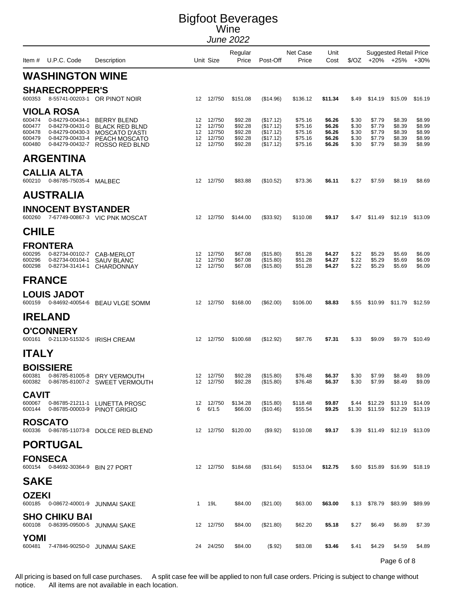|                                                | Item # U.P.C. Code                                                                                        | Description                                                                                      |                            | Unit Size                                      | Regular<br>Price                                    | Post-Off                                                      | Net Case<br>Price                                   | Unit<br>Cost                                   |                                           | $\sqrt[6]{02}$ +20% +25%                       | <b>Suggested Retail Price</b>                  | $+30%$                                         |
|------------------------------------------------|-----------------------------------------------------------------------------------------------------------|--------------------------------------------------------------------------------------------------|----------------------------|------------------------------------------------|-----------------------------------------------------|---------------------------------------------------------------|-----------------------------------------------------|------------------------------------------------|-------------------------------------------|------------------------------------------------|------------------------------------------------|------------------------------------------------|
|                                                | <b>WASHINGTON WINE</b>                                                                                    |                                                                                                  |                            |                                                |                                                     |                                                               |                                                     |                                                |                                           |                                                |                                                |                                                |
| 600353                                         | <b>SHARECROPPER'S</b>                                                                                     | 8-55741-00203-1 OR PINOT NOIR                                                                    |                            | 12 12/750                                      | \$151.08                                            | (\$14.96)                                                     | \$136.12                                            | \$11.34                                        | \$.49                                     |                                                | \$14.19 \$15.09                                | \$16.19                                        |
| 600474<br>600477<br>600478<br>600479<br>600480 | VIOLA ROSA<br>0-84279-00434-1<br>0-84279-00431-0<br>0-84279-00430-3<br>0-84279-00433-4<br>0-84279-00432-7 | <b>BERRY BLEND</b><br><b>BLACK RED BLND</b><br>MOSCATO D'ASTI<br>PEACH MOSCATO<br>ROSSO RED BLND | 12<br>12<br>12<br>12<br>12 | 12/750<br>12/750<br>12/750<br>12/750<br>12/750 | \$92.28<br>\$92.28<br>\$92.28<br>\$92.28<br>\$92.28 | (\$17.12)<br>(\$17.12)<br>(\$17.12)<br>(\$17.12)<br>(\$17.12) | \$75.16<br>\$75.16<br>\$75.16<br>\$75.16<br>\$75.16 | \$6.26<br>\$6.26<br>\$6.26<br>\$6.26<br>\$6.26 | \$.30<br>\$.30<br>\$.30<br>\$.30<br>\$.30 | \$7.79<br>\$7.79<br>\$7.79<br>\$7.79<br>\$7.79 | \$8.39<br>\$8.39<br>\$8.39<br>\$8.39<br>\$8.39 | \$8.99<br>\$8.99<br>\$8.99<br>\$8.99<br>\$8.99 |
|                                                | <b>ARGENTINA</b>                                                                                          |                                                                                                  |                            |                                                |                                                     |                                                               |                                                     |                                                |                                           |                                                |                                                |                                                |
| 600210                                         | <b>CALLIA ALTA</b><br>0-86785-75035-4                                                                     | MALBEC                                                                                           |                            | 12 12/750                                      | \$83.88                                             | (\$10.52)                                                     | \$73.36                                             | \$6.11                                         | \$.27                                     | \$7.59                                         | \$8.19                                         | \$8.69                                         |
|                                                | <b>AUSTRALIA</b>                                                                                          |                                                                                                  |                            |                                                |                                                     |                                                               |                                                     |                                                |                                           |                                                |                                                |                                                |
| 600260                                         | <b>INNOCENT BYSTANDER</b>                                                                                 | 7-67749-00867-3 VIC PNK MOSCAT                                                                   |                            | 12 12/750                                      | \$144.00                                            | (\$33.92)                                                     | \$110.08                                            | \$9.17                                         | \$.47                                     |                                                | \$11.49 \$12.19                                | \$13.09                                        |
| <b>CHILE</b>                                   |                                                                                                           |                                                                                                  |                            |                                                |                                                     |                                                               |                                                     |                                                |                                           |                                                |                                                |                                                |
| <b>FRONTERA</b><br>600295<br>600296<br>600298  | 0-82734-00102-7<br>0-82734-00104-1                                                                        | CAB-MERLOT<br><b>SAUV BLANC</b><br>0-82734-31414-1 CHARDONNAY                                    | 12<br>12<br>12             | 12/750<br>12/750<br>12/750                     | \$67.08<br>\$67.08<br>\$67.08                       | (\$15.80)<br>(\$15.80)<br>(\$15.80)                           | \$51.28<br>\$51.28<br>\$51.28                       | \$4.27<br>\$4.27<br>\$4.27                     | \$.22<br>\$.22<br>\$.22                   | \$5.29<br>\$5.29<br>\$5.29                     | \$5.69<br>\$5.69<br>\$5.69                     | \$6.09<br>\$6.09<br>\$6.09                     |
| <b>FRANCE</b>                                  |                                                                                                           |                                                                                                  |                            |                                                |                                                     |                                                               |                                                     |                                                |                                           |                                                |                                                |                                                |
| 600159                                         | <b>LOUIS JADOT</b>                                                                                        | 0-84692-40054-6 BEAU VLGE SOMM                                                                   |                            | 12 12/750                                      | \$168.00                                            | $(\$62.00)$                                                   | \$106.00                                            | \$8.83                                         | \$.55                                     |                                                | \$10.99 \$11.79                                | \$12.59                                        |
| <b>IRELAND</b>                                 |                                                                                                           |                                                                                                  |                            |                                                |                                                     |                                                               |                                                     |                                                |                                           |                                                |                                                |                                                |
| 600161                                         | <b>O'CONNERY</b><br>0-21130-51532-5 IRISH CREAM                                                           |                                                                                                  |                            | 12 12/750                                      | \$100.68                                            | (\$12.92)                                                     | \$87.76                                             | \$7.31                                         | \$.33                                     | \$9.09                                         | \$9.79                                         | \$10.49                                        |
| <b>ITALY</b>                                   |                                                                                                           |                                                                                                  |                            |                                                |                                                     |                                                               |                                                     |                                                |                                           |                                                |                                                |                                                |
| <b>BOISSIERE</b><br>600381<br>600382           | 0-86785-81005-8                                                                                           | DRY VERMOUTH<br>0-86785-81007-2 SWEET VERMOUTH                                                   | 12                         | 12/750<br>12 12/750                            | \$92.28<br>\$92.28                                  | (\$15.80)<br>(\$15.80)                                        | \$76.48<br>\$76.48                                  | \$6.37<br>\$6.37                               | \$.30<br>\$.30                            | \$7.99<br>\$7.99                               | \$8.49<br>\$8.49                               | \$9.09<br>\$9.09                               |
| <b>CAVIT</b><br>600067<br>600144               |                                                                                                           | 0-86785-21211-1 LUNETTA PROSC<br>0-86785-00003-9 PINOT GRIGIO                                    | 6                          | 12 12/750<br>6/1.5                             | \$134.28<br>\$66.00                                 | (\$15.80)<br>(\$10.46)                                        | \$118.48<br>\$55.54                                 | \$9.87<br>\$9.25                               | \$.44                                     | \$1.30 \$11.59 \$12.29                         | \$12.29 \$13.19                                | \$14.09<br>\$13.19                             |
| <b>ROSCATO</b>                                 |                                                                                                           | 600336 0-86785-11073-8 DOLCE RED BLEND                                                           |                            | 12 12/750                                      | \$120.00                                            | (\$9.92)                                                      | \$110.08                                            | \$9.17                                         |                                           | \$.39 \$11.49 \$12.19 \$13.09                  |                                                |                                                |
|                                                | <b>PORTUGAL</b>                                                                                           |                                                                                                  |                            |                                                |                                                     |                                                               |                                                     |                                                |                                           |                                                |                                                |                                                |
| <b>FONSECA</b>                                 | 600154 0-84692-30364-9 BIN 27 PORT                                                                        |                                                                                                  |                            | 12 12/750                                      | \$184.68                                            | (\$31.64)                                                     | \$153.04                                            | \$12.75                                        |                                           | \$.60 \$15.89 \$16.99                          |                                                | \$18.19                                        |
| <b>SAKE</b>                                    |                                                                                                           |                                                                                                  |                            |                                                |                                                     |                                                               |                                                     |                                                |                                           |                                                |                                                |                                                |
| <b>OZEKI</b>                                   | 600185  0-08672-40001-9  JUNMAI SAKE                                                                      |                                                                                                  |                            | 1 19L                                          | \$84.00                                             | $(\$21.00)$                                                   | \$63.00                                             | \$63.00                                        |                                           | \$.13 \$78.79 \$83.99                          |                                                | \$89.99                                        |
|                                                | <b>SHO CHIKU BAI</b><br>600108  0-86395-09500-5  JUNMAI SAKE                                              |                                                                                                  |                            | 12 12/750                                      | \$84.00                                             | (\$21.80)                                                     | \$62.20                                             | \$5.18                                         | \$.27                                     | \$6.49                                         | \$6.89                                         | \$7.39                                         |
| <b>YOMI</b><br>600481                          | 7-47846-90250-0 JUNMAI SAKE                                                                               |                                                                                                  |                            | 24 24/250                                      | \$84.00                                             | (\$.92)                                                       | \$83.08                                             | \$3.46                                         | \$.41                                     | \$4.29                                         | \$4.59<br>Page 6 of 8                          | \$4.89                                         |

All pricing is based on full case purchases. A split case fee will be applied to non full case orders. Pricing is subject to change without notice. All items are not available in each location. All items are not available in each location.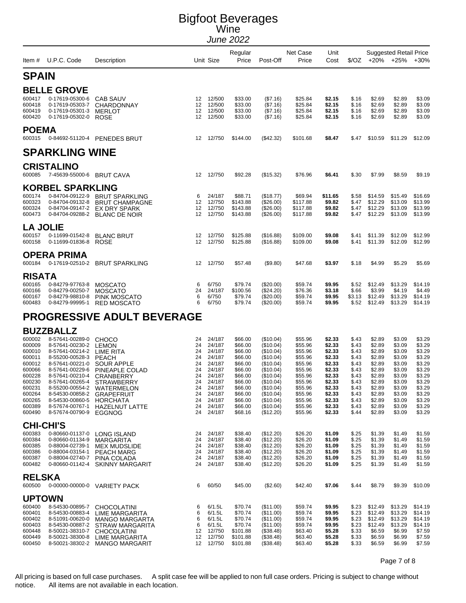|                  |                                               |                                                                  |                 |                     | Regular              |                          | Net Case             | Unit             |                 |                          | <b>Suggested Retail Price</b> |                    |
|------------------|-----------------------------------------------|------------------------------------------------------------------|-----------------|---------------------|----------------------|--------------------------|----------------------|------------------|-----------------|--------------------------|-------------------------------|--------------------|
|                  | Item # U.P.C. Code                            | Description                                                      |                 | Unit Size           | Price                | Post-Off                 | Price                | Cost             |                 | $\sqrt[6]{02}$ +20% +25% |                               | $+30%$             |
| <b>SPAIN</b>     |                                               |                                                                  |                 |                     |                      |                          |                      |                  |                 |                          |                               |                    |
|                  | <b>BELLE GROVE</b>                            |                                                                  |                 |                     |                      |                          |                      |                  |                 |                          |                               |                    |
| 600417           | 0-17619-05300-6                               | <b>CAB SAUV</b>                                                  | 12              | 12/500              | \$33.00              | (S7.16)                  | \$25.84              | \$2.15           | \$.16           | \$2.69                   | \$2.89                        | \$3.09             |
| 600418<br>600419 | 0-17619-05303-7                               | <b>CHARDONNAY</b>                                                | 12              | 12/500              | \$33.00<br>\$33.00   | (\$7.16)                 | \$25.84              | \$2.15           | \$.16           | \$2.69                   | \$2.89                        | \$3.09             |
| 600420           | 0-17619-05301-3<br>0-17619-05302-0            | MERLOT<br>ROSE                                                   | 12              | 12/500<br>12 12/500 | \$33.00              | (\$7.16)<br>(\$7.16)     | \$25.84<br>\$25.84   | \$2.15<br>\$2.15 | \$.16<br>\$.16  | \$2.69<br>\$2.69         | \$2.89<br>\$2.89              | \$3.09<br>\$3.09   |
| <b>POEMA</b>     |                                               |                                                                  |                 |                     |                      |                          |                      |                  |                 |                          |                               |                    |
| 600315           |                                               | 0-84692-51120-4 PENEDES BRUT                                     |                 | 12 12/750           | \$144.00             | $(\$42.32)$              | \$101.68             | \$8.47           | \$.47           | \$10.59                  | \$11.29                       | \$12.09            |
|                  | <b>SPARKLING WINE</b>                         |                                                                  |                 |                     |                      |                          |                      |                  |                 |                          |                               |                    |
|                  | <b>CRISTALINO</b>                             |                                                                  |                 |                     |                      |                          |                      |                  |                 |                          |                               |                    |
| 600085           | 7-45639-55000-6 BRUT CAVA                     |                                                                  | 12              | 12/750              | \$92.28              | (\$15.32)                | \$76.96              | \$6.41           | \$.30           | \$7.99                   | \$8.59                        | \$9.19             |
|                  | <b>KORBEL SPARKLING</b>                       |                                                                  |                 |                     |                      |                          |                      |                  |                 |                          |                               |                    |
| 600174           |                                               | 0-84704-09122-9 BRUT SPARKLING                                   | 6               | 24/187              | \$88.71              | (\$18.77)                | \$69.94              | \$11.65          | \$.58           | \$14.59                  | \$15.49                       | \$16.69            |
| 600323           | 0-84704-09132-8                               | <b>BRUT CHAMPAGNE</b>                                            | 12              | 12/750              | \$143.88             | (\$26.00)                | \$117.88             | \$9.82           | \$.47           | \$12.29                  | \$13.09                       | \$13.99            |
| 600324<br>600473 | 0-84704-09147-2                               | <b>EX DRY SPARK</b><br>0-84704-09288-2 BLANC DE NOIR             | 12<br>12        | 12/750<br>12/750    | \$143.88<br>\$143.88 | (\$26.00)<br>(\$26.00)   | \$117.88<br>\$117.88 | \$9.82<br>\$9.82 | \$.47<br>\$.47  | \$12.29<br>\$12.29       | \$13.09<br>\$13.09            | \$13.99<br>\$13.99 |
| <b>LA JOLIE</b>  |                                               |                                                                  |                 |                     |                      |                          |                      |                  |                 |                          |                               |                    |
| 600157           | 0-11699-01542-8                               | <b>BLANC BRUT</b>                                                | 12              | 12/750              | \$125.88             | (\$16.88)                | \$109.00             | \$9.08           | \$.41           | \$11.39                  | \$12.09                       | \$12.99            |
| 600158           | 0-11699-01836-8                               | ROSE                                                             | 12 <sup>°</sup> | 12/750              | \$125.88             | (\$16.88)                | \$109.00             | \$9.08           | \$.41           | \$11.39                  | \$12.09                       | \$12.99            |
|                  | <b>OPERA PRIMA</b>                            |                                                                  |                 |                     |                      |                          |                      |                  |                 |                          |                               |                    |
| 600184           |                                               | 0-17619-02510-2 BRUT SPARKLING                                   |                 | 12 12/750           | \$57.48              | (\$9.80)                 | \$47.68              | \$3.97           | \$.18           | \$4.99                   | \$5.29                        | \$5.69             |
| <b>RISATA</b>    |                                               |                                                                  |                 |                     |                      |                          |                      |                  |                 |                          |                               |                    |
| 600165           | 0-84279-97763-8                               | <b>MOSCATO</b>                                                   | 6               | 6/750               | \$79.74              | (\$20.00)                | \$59.74              | \$9.95           | \$.52           | \$12.49                  | \$13.29                       | \$14.19            |
| 600166<br>600167 | 0-84279-00250-7<br>0-84279-98810-8            | <b>MOSCATO</b>                                                   | 24<br>6         | 24/187<br>6/750     | \$100.56             | (\$24.20)                | \$76.36              | \$3.18<br>\$9.95 | \$.66<br>\$3.13 | \$3.99                   | \$4.19                        | \$4.49             |
| 600483           | 0-84279-99995-1                               | PINK MOSCATO<br><b>RED MOSCATO</b>                               | 6               | 6/750               | \$79.74<br>\$79.74   | (\$20.00)<br>$(\$20.00)$ | \$59.74<br>\$59.74   | \$9.95           | \$.52           | \$12.49<br>\$12.49       | \$13.29<br>\$13.29            | \$14.19<br>\$14.19 |
|                  |                                               | <b>PROGRESSIVE ADULT BEVERAGE</b>                                |                 |                     |                      |                          |                      |                  |                 |                          |                               |                    |
|                  | <b>BUZZBALLZ</b>                              |                                                                  |                 |                     |                      |                          |                      |                  |                 |                          |                               |                    |
| 600002           | 8-57641-00289-0                               | <b>CHOCO</b>                                                     | 24              | 24/187              | \$66.00              | (\$10.04)                | \$55.96              | \$2.33           | \$43            | \$2.89                   | \$3.09                        | \$3.29             |
| 600009           | 8-57641-00230-2                               | LEMON                                                            | 24              | 24/187              | \$66.00              | (\$10.04)                | \$55.96              | \$2.33           | \$43            | \$2.89                   | \$3.09                        | \$3.29             |
| 600010           | 8-57641-00214-2                               | LIME RITA                                                        | 24              | 24/187              | \$66.00              | (\$10.04)                | \$55.96              | \$2.33           | \$.43           | \$2.89                   | \$3.09                        | \$3.29             |
| 600011           | 8-55200-00528-3                               | <b>PEACH</b>                                                     | 24              | 24/187              | \$66.00              | (\$10.04)                | \$55.96              | \$2.33           | \$43            | \$2.89                   | \$3.09                        | \$3.29             |
| 600012<br>600066 | 8-57641-00221-0<br>8-57641-00229-6            | <b>SOUR APPLE</b><br>PINEAPLE COLAD                              | 24<br>24        | 24/187<br>24/187    | \$66.00<br>\$66.00   | (\$10.04)<br>(\$10.04)   | \$55.96<br>\$55.96   | \$2.33<br>\$2.33 | \$43<br>\$.43   | \$2.89<br>\$2.89         | \$3.09<br>\$3.09              | \$3.29<br>\$3.29   |
| 600228           | 8-57641-00210-4                               | <b>CRANBERRY</b>                                                 | 24              | 24/187              | \$66.00              | (\$10.04)                | \$55.96              | \$2.33           | \$43            | \$2.89                   | \$3.09                        | \$3.29             |
| 600230           | 8-57641-00265-4                               | <b>STRAWBERRY</b>                                                | 24              | 24/187              | \$66.00              | (\$10.04)                | \$55.96              | \$2.33           | \$43            | \$2.89                   | \$3.09                        | \$3.29             |
| 600231           |                                               | 8-55200-00554-2 WATERMELON                                       | 24              | 24/187              | \$66.00              | (\$10.04)                | \$55.96              | \$2.33           | \$.43           | \$2.89                   | \$3.09                        | \$3.29             |
| 600264<br>600265 | 8-54530-00858-2 GRAPEFRUIT<br>8-54530-00860-5 | <b>HORCHATA</b>                                                  | 24<br>24        | 24/187<br>24/187    | \$66.00<br>\$66.00   | (\$10.04)<br>(\$10.04)   | \$55.96<br>\$55.96   | \$2.33<br>\$2.33 | \$.43<br>\$43   | \$2.89<br>\$2.89         | \$3.09<br>\$3.09              | \$3.29<br>\$3.29   |
| 600389           | 8-57674-00767-1                               | <b>HAZELNUT LATTE</b>                                            | 24              | 24/187              | \$66.00              | (\$10.04)                | \$55.96              | \$2.33           | \$.43           | \$2.89                   | \$3.09                        | \$3.29             |
| 600490           | 8-57674-00790-9                               | <b>EGGNOG</b>                                                    | 24              | 24/187              | \$68.16              | (\$12.20)                | \$55.96              | \$2.33           | \$44            | \$2.89                   | \$3.09                        | \$3.29             |
|                  | <b>CHI-CHI'S</b>                              |                                                                  |                 |                     |                      |                          |                      |                  |                 |                          |                               |                    |
| 600383           | 0-80660-01137-0                               | LONG ISLAND                                                      | 24              | 24/187              | \$38.40              | (\$12.20)                | \$26.20              | \$1.09           | \$.25           | \$1.39                   | \$1.49                        | \$1.59             |
| 600384<br>600385 | 0-80660-01134-9<br>0-88004-02739-1            | MARGARITA                                                        | 24<br>24        | 24/187<br>24/187    | \$38.40<br>\$38.40   | (\$12.20)<br>(\$12.20)   | \$26.20<br>\$26.20   | \$1.09<br>\$1.09 | \$.25<br>\$.25  | \$1.39<br>\$1.39         | \$1.49<br>\$1.49              | \$1.59<br>\$1.59   |
| 600386           | 0-88004-03154-1                               | <b>MEX MUDSLIDE</b><br><b>PEACH MARG</b>                         | 24              | 24/187              | \$38.40              | (\$12.20)                | \$26.20              | \$1.09           | \$.25           | \$1.39                   | \$1.49                        | \$1.59             |
| 600387           | 0-88004-02740-7                               | PINA COLADA                                                      | 24              | 24/187              | \$38.40              | (\$12.20)                | \$26.20              | \$1.09           | \$.25           | \$1.39                   | \$1.49                        | \$1.59             |
| 600482           | 0-80660-01142-4                               | <b>SKINNY MARGARIT</b>                                           | 24              | 24/187              | \$38.40              | (\$12.20)                | \$26.20              | \$1.09           | \$.25           | \$1.39                   | \$1.49                        | \$1.59             |
| <b>RELSKA</b>    |                                               |                                                                  |                 |                     |                      |                          |                      |                  |                 |                          |                               |                    |
| 600500           |                                               | 0-00000-00000-0 VARIETY PACK                                     | 6               | 60/50               | \$45.00              | (\$2.60)                 | \$42.40              | \$7.06           | \$.44           | \$8.79                   | \$9.39                        | \$10.09            |
| <b>UPTOWN</b>    |                                               |                                                                  |                 |                     |                      |                          |                      |                  |                 |                          |                               |                    |
| 600400<br>600401 | 8-54530-00895-7                               | <b>CHOCOLATINI</b><br>8-54530-00883-4 LIME MARGARITA             | 6<br>6          | 6/1.5L<br>6/1.5L    | \$70.74<br>\$70.74   | (\$11.00)<br>(\$11.00)   | \$59.74<br>\$59.74   | \$9.95<br>\$9.95 | \$.23<br>\$.23  | \$12.49<br>\$12.49       | \$13.29<br>\$13.29            | \$14.19<br>\$14.19 |
| 600402           | 8-51091-00620-0                               | <b>MANGO MARGARTA</b>                                            | 6               | 6/1.5L              | \$70.74              | (\$11.00)                | \$59.74              | \$9.95           | \$.23           | \$12.49                  | \$13.29                       | \$14.19            |
| 600403           | 8-54530-00887-2                               | STRAW MARGARITA                                                  | 6               | 6/1.5L              | \$70.74              | (\$11.00)                | \$59.74              | \$9.95           | \$.23           | \$12.49                  | \$13.29                       | \$14.19            |
| 600448           |                                               | 8-50021-38310-7 CHOCOLATINI                                      | 12              | 12/750              | \$101.88             | (\$38.48)                | \$63.40              | \$5.28           | \$.33           | \$6.59                   | \$6.99                        | \$7.59             |
| 600449<br>600450 |                                               | 8-50021-38300-8 LIME MARGARITA<br>8-50021-38302-2 MANGO MARGARIT | 12              | 12/750<br>12 12/750 | \$101.88<br>\$101.88 | (\$38.48)<br>(\$38.48)   | \$63.40<br>\$63.40   | \$5.28<br>\$5.28 | \$.33<br>\$.33  | \$6.59<br>\$6.59         | \$6.99<br>\$6.99              | \$7.59<br>\$7.59   |

Page 7 of 8

All pricing is based on full case purchases. A split case fee will be applied to non full case orders. Pricing is subject to change without notice. All items are not available in each location.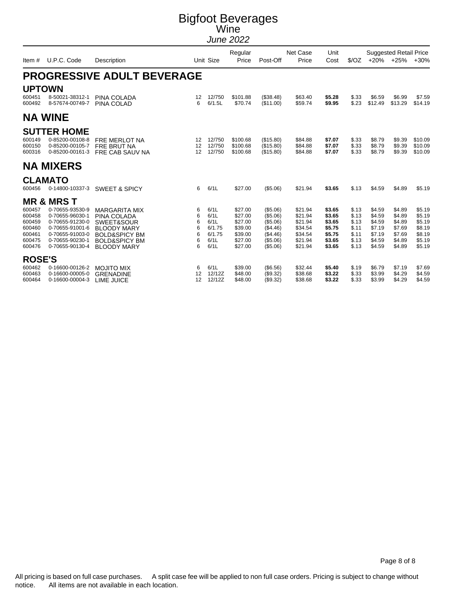|                                                                    |                                                                                                                                                            |                                                                                                                                                       |                                 |                                                          | Regular                                                                   |                                                                                  | Net Case                                                                  | Unit                                                               |                                                             |                                                                    | <b>Suggested Retail Price</b>                                      |                                                                    |
|--------------------------------------------------------------------|------------------------------------------------------------------------------------------------------------------------------------------------------------|-------------------------------------------------------------------------------------------------------------------------------------------------------|---------------------------------|----------------------------------------------------------|---------------------------------------------------------------------------|----------------------------------------------------------------------------------|---------------------------------------------------------------------------|--------------------------------------------------------------------|-------------------------------------------------------------|--------------------------------------------------------------------|--------------------------------------------------------------------|--------------------------------------------------------------------|
| Item#                                                              | U.P.C. Code                                                                                                                                                | Description                                                                                                                                           |                                 | Unit Size                                                | Price                                                                     | Post-Off                                                                         | Price                                                                     | Cost                                                               | S/OZ                                                        | $+20%$                                                             | $+25%$                                                             | $+30%$                                                             |
|                                                                    |                                                                                                                                                            | <b>PROGRESSIVE ADULT BEVERAGE</b>                                                                                                                     |                                 |                                                          |                                                                           |                                                                                  |                                                                           |                                                                    |                                                             |                                                                    |                                                                    |                                                                    |
| <b>UPTOWN</b><br>600451<br>600492                                  | 8-50021-38312-1<br>8-57674-00749-7                                                                                                                         | PINA COLADA<br>PINA COLAD                                                                                                                             | 12<br>6                         | 12/750<br>6/1.5L                                         | \$101.88<br>\$70.74                                                       | (\$38.48)<br>(\$11.00)                                                           | \$63.40<br>\$59.74                                                        | \$5.28<br>\$9.95                                                   | \$.33<br>\$.23                                              | \$6.59<br>\$12.49                                                  | \$6.99<br>\$13.29                                                  | \$7.59<br>\$14.19                                                  |
|                                                                    | <b>NA WINE</b>                                                                                                                                             |                                                                                                                                                       |                                 |                                                          |                                                                           |                                                                                  |                                                                           |                                                                    |                                                             |                                                                    |                                                                    |                                                                    |
| 600149<br>600150<br>600316                                         | <b>SUTTER HOME</b><br>0-85200-00108-8<br>0-85200-00105-7<br>0-85200-00161-3                                                                                | <b>FRE MERLOT NA</b><br><b>FRE BRUT NA</b><br>FRE CAB SAUV NA                                                                                         | 12<br>12<br>12                  | 12/750<br>12/750<br>12/750                               | \$100.68<br>\$100.68<br>\$100.68                                          | (\$15.80)<br>(\$15.80)<br>(\$15.80)                                              | \$84.88<br>\$84.88<br>\$84.88                                             | \$7.07<br>\$7.07<br>\$7.07                                         | \$.33<br>\$.33<br>\$.33                                     | \$8.79<br>\$8.79<br>\$8.79                                         | \$9.39<br>\$9.39<br>\$9.39                                         | \$10.09<br>\$10.09<br>\$10.09                                      |
|                                                                    | <b>NA MIXERS</b>                                                                                                                                           |                                                                                                                                                       |                                 |                                                          |                                                                           |                                                                                  |                                                                           |                                                                    |                                                             |                                                                    |                                                                    |                                                                    |
| 600456                                                             | <b>CLAMATO</b><br>0-14800-10337-3                                                                                                                          | <b>SWEET &amp; SPICY</b>                                                                                                                              | 6                               | 6/1L                                                     | \$27.00                                                                   | (\$5.06)                                                                         | \$21.94                                                                   | \$3.65                                                             | \$.13                                                       | \$4.59                                                             | \$4.89                                                             | \$5.19                                                             |
| 600457<br>600458<br>600459<br>600460<br>600461<br>600475<br>600476 | <b>MR &amp; MRS T</b><br>0-70655-93530-9<br>0-70655-96030-1<br>0-70655-91230-0<br>0-70655-91001-6<br>0-70655-91003-0<br>0-70655-90230-1<br>0-70655-90130-4 | <b>MARGARITA MIX</b><br>PINA COLADA<br>SWEET&SOUR<br><b>BLOODY MARY</b><br><b>BOLD&amp;SPICY BM</b><br><b>BOLD&amp;SPICY BM</b><br><b>BLOODY MARY</b> | 6<br>6<br>6<br>6<br>6<br>6<br>6 | 6/1L<br>6/1L<br>6/1L<br>6/1.75<br>6/1.75<br>6/1L<br>6/1L | \$27.00<br>\$27.00<br>\$27.00<br>\$39.00<br>\$39.00<br>\$27.00<br>\$27.00 | (\$5.06)<br>(\$5.06)<br>(\$5.06)<br>(\$4.46)<br>(\$4.46)<br>(\$5.06)<br>(\$5.06) | \$21.94<br>\$21.94<br>\$21.94<br>\$34.54<br>\$34.54<br>\$21.94<br>\$21.94 | \$3.65<br>\$3.65<br>\$3.65<br>\$5.75<br>\$5.75<br>\$3.65<br>\$3.65 | \$.13<br>\$.13<br>\$.13<br>\$.11<br>\$.11<br>\$.13<br>\$.13 | \$4.59<br>\$4.59<br>\$4.59<br>\$7.19<br>\$7.19<br>\$4.59<br>\$4.59 | \$4.89<br>\$4.89<br>\$4.89<br>\$7.69<br>\$7.69<br>\$4.89<br>\$4.89 | \$5.19<br>\$5.19<br>\$5.19<br>\$8.19<br>\$8.19<br>\$5.19<br>\$5.19 |
| <b>ROSE'S</b><br>600462<br>600463<br>600464                        | 0-16600-00126-2<br>0-16600-00005-0<br>0-16600-00004-3                                                                                                      | <b>MOJITO MIX</b><br><b>GRENADINE</b><br>LIME JUICE                                                                                                   | 6<br>12<br>12                   | 6/1L<br>12/12Z<br>12/12Z                                 | \$39.00<br>\$48.00<br>\$48.00                                             | (\$6.56)<br>(\$9.32)<br>(\$9.32)                                                 | \$32.44<br>\$38.68<br>\$38.68                                             | \$5.40<br>\$3.22<br>\$3.22                                         | \$.19<br>\$.33<br>\$.33                                     | \$6.79<br>\$3.99<br>\$3.99                                         | \$7.19<br>\$4.29<br>\$4.29                                         | \$7.69<br>\$4.59<br>\$4.59                                         |